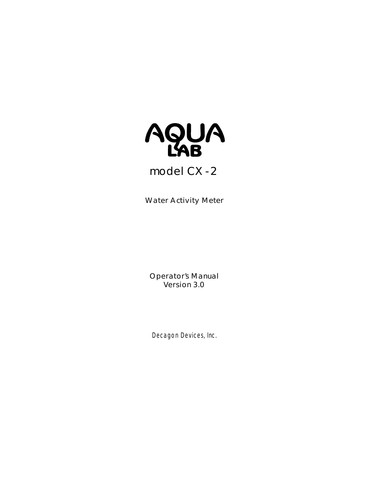

# **model** *CX-2*

**Water Activity Meter**

**Operator's Manual Version 3.0**

Decagon Devices, Inc.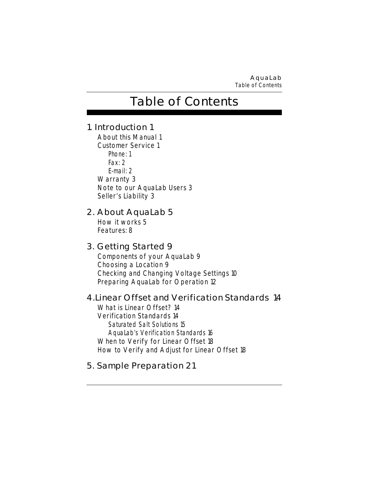**AquaLab** *Table of Contents*

# **Table of Contents**

## **1. Introduction 1**

About this Manual 1 Customer Service 1 Phone: 1 Fax: 2 E-mail: 2 Warranty 3 Note to our AquaLab Users 3 Seller's Liability 3

## **2. About AquaLab 5**

How it works 5 Features: 8

## **3. Getting Started 9**

Components of your AquaLab 9 Choosing a Location 9 Checking and Changing Voltage Settings 10 Preparing AquaLab for Operation 12

## **4.Linear Offset and Verification Standards 14**

What is Linear Offset? 14 Verification Standards 14 Saturated Salt Solutions 15 AquaLab's Verification Standards 16 When to Verify for Linear Offset 18 How to Verify and Adjust for Linear Offset 18

# **5. Sample Preparation 21**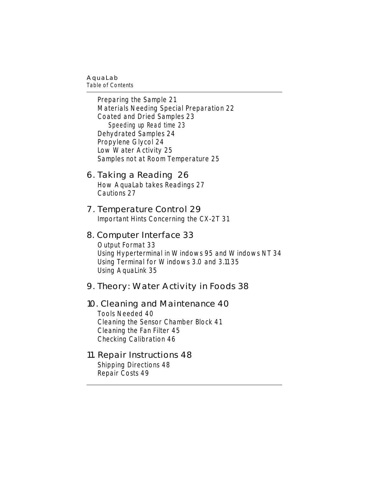*Table of Contents*

Preparing the Sample 21 Materials Needing Special Preparation 22 Coated and Dried Samples 23 Speeding up Read time 23 Dehydrated Samples 24 Propylene Glycol 24 Low Water Activity 25 Samples not at Room Temperature 25

### **6. Taking a Reading 26**

How AquaLab takes Readings 27 Cautions 27

### **7. Temperature Control 29**

Important Hints Concerning the CX-2T 31

### **8. Computer Interface 33**

Output Format 33 Using Hyperterminal in Windows 95 and Windows NT 34 Using Terminal for Windows 3.0 and 3.11 35 Using AquaLink 35

# **9. Theory: Water Activity in Foods 38**

## **10. Cleaning and Maintenance 40**

Tools Needed 40 Cleaning the Sensor Chamber Block 41 Cleaning the Fan Filter 45 Checking Calibration 46

### **11. Repair Instructions 48**

Shipping Directions 48 Repair Costs 49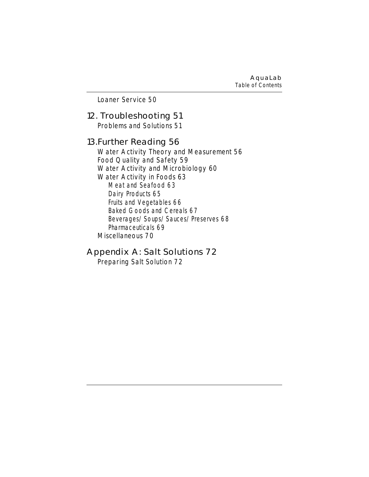**AquaLab** *Table of Contents*

Loaner Service 50

### **12. Troubleshooting 51**

Problems and Solutions 51

### **13.Further Reading 56**

Water Activity Theory and Measurement 56 Food Quality and Safety 59 Water Activity and Microbiology 60 Water Activity in Foods 63 Meat and Seafood 63 Dairy Products 65 Fruits and Vegetables 66 Baked Goods and Cereals 67 Beverages/Soups/Sauces/Preserves 68 Pharmaceuticals 69 Miscellaneous 70

## **Appendix A: Salt Solutions 72**

Preparing Salt Solution 72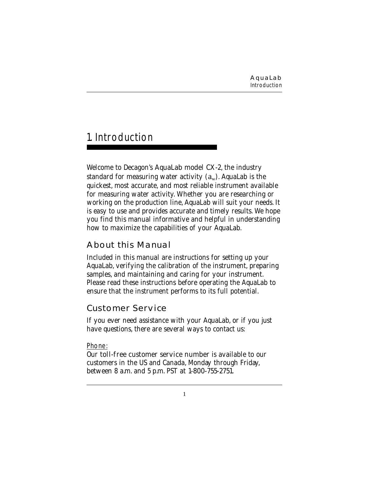# 1. Introduction

Welcome to Decagon's **AquaLab model CX-2**, the industry standard for measuring water activity  $(a_w)$ . AquaLab is the quickest, most accurate, and most reliable instrument available for measuring water activity. Whether you are researching or working on the production line, AquaLab will suit your needs. It is easy to use and provides accurate and timely results. We hope you find this manual informative and helpful in understanding how to maximize the capabilities of your AquaLab.

# **About this Manual**

Included in this manual are instructions for setting up your AquaLab, verifying the calibration of the instrument, preparing samples, and maintaining and caring for your instrument. Please read these instructions before operating the AquaLab to ensure that the instrument performs to its full potential.

## **Customer Service**

If you ever need assistance with your AquaLab, or if you just have questions, there are several ways to contact us:

### Phone:

Our toll-free customer service number is available to our customers in the US and Canada, Monday through Friday, between 8 a.m. and 5 p.m. PST at 1-800-755-2751.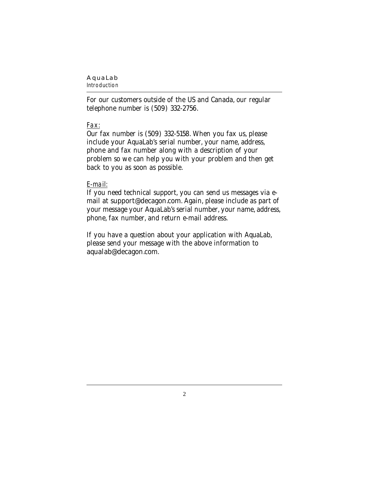### *Introduction*

For our customers outside of the US and Canada, our regular telephone number is (509) 332-2756.

### Fax:

Our fax number is (509) 332-5158. When you fax us, please include your AquaLab's serial number, your name, address, phone and fax number along with a description of your problem so we can help you with your problem and then get back to you as soon as possible.

### E-mail:

If you need technical support, you can send us messages via email at support@decagon.com. Again, please include as part of your message your AquaLab's serial number, your name, address, phone, fax number, and return e-mail address.

If you have a question about your application with AquaLab, please send your message with the above information to aqualab@decagon.com.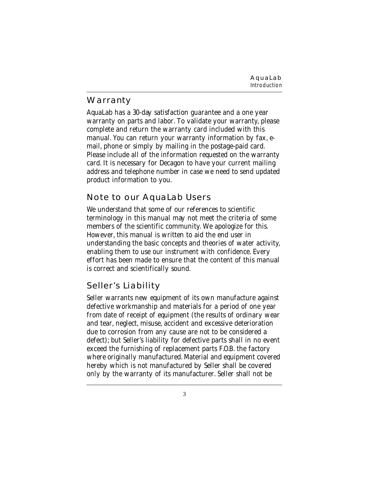**AquaLab** *Introduction*

# **Warranty**

AquaLab has a 30-day satisfaction guarantee and a one year warranty on parts and labor. To validate your warranty, please complete and return the warranty card included with this manual. You can return your warranty information by fax, email, phone or simply by mailing in the postage-paid card. Please include all of the information requested on the warranty card. It is necessary for Decagon to have your current mailing address and telephone number in case we need to send updated product information to you.

# **Note to our AquaLab Users**

We understand that some of our references to scientific terminology in this manual may not meet the criteria of some members of the scientific community. We apologize for this. However, this manual is written to aid the end user in understanding the basic concepts and theories of water activity, enabling them to use our instrument with confidence. Every effort has been made to ensure that the content of this manual is correct and scientifically sound.

# **Seller's Liability**

Seller warrants new equipment of its own manufacture against defective workmanship and materials for a period of one year from date of receipt of equipment (the results of ordinary wear and tear, neglect, misuse, accident and excessive deterioration due to corrosion from any cause are not to be considered a defect); but Seller's liability for defective parts shall in no event exceed the furnishing of replacement parts F.O.B. the factory where originally manufactured. Material and equipment covered hereby which is not manufactured by Seller shall be covered only by the warranty of its manufacturer. Seller shall not be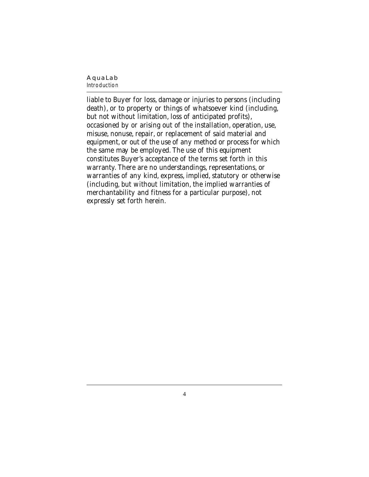#### **AquaLab** *Introduction*

### liable to Buyer for loss, damage or injuries to persons (including death), or to property or things of whatsoever kind (including, but not without limitation, loss of anticipated profits), occasioned by or arising out of the installation, operation, use, misuse, nonuse, repair, or replacement of said material and equipment, or out of the use of any method or process for which the same may be employed. The use of this equipment constitutes Buyer's acceptance of the terms set forth in this warranty. There are no understandings, representations, or warranties of any kind, express, implied, statutory or otherwise (including, but without limitation, the implied warranties of merchantability and fitness for a particular purpose), not expressly set forth herein.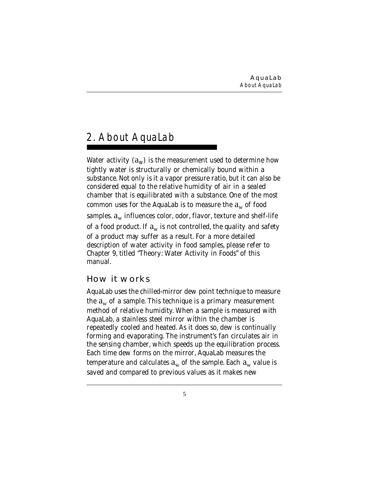# 2. About AquaLab

Water activity  $(a_w)$  is the measurement used to determine how tightly water is structurally or chemically bound within a substance. Not only is it a vapor pressure ratio, but it can also be considered equal to the relative humidity of air in a sealed chamber that is equilibrated with a substance. One of the most common uses for the AquaLab is to measure the  $a_w$  of food samples.  $a_w$  influences color, odor, flavor, texture and shelf-life of a food product. If  $a_w$  is not controlled, the quality and safety of a product may suffer as a result. For a more detailed description of water activity in food samples, please refer to Chapter 9, titled "Theory: Water Activity in Foods" of this manual.

# **How it works**

AquaLab uses the chilled-mirror dew point technique to measure the  $a_w$  of a sample. This technique is a primary measurement method of relative humidity. When a sample is measured with AquaLab, a stainless steel mirror within the chamber is repeatedly cooled and heated. As it does so, dew is continually forming and evaporating. The instrument's fan circulates air in the sensing chamber, which speeds up the equilibration process. Each time dew forms on the mirror, AquaLab measures the temperature and calculates  $a_w$  of the sample. Each  $a_w$  value is saved and compared to previous values as it makes new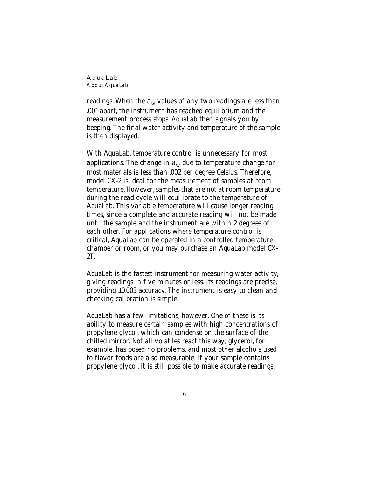#### **AquaLab** *About AquaLab*

readings. When the  $a_w$  values of any two readings are less than .001 apart, the instrument has reached equilibrium and the measurement process stops. AquaLab then signals you by beeping. The final water activity and temperature of the sample is then displayed.

With AquaLab, temperature control is unnecessary for most applications. The change in  $a_w$  due to temperature change for most materials is less than .002 per degree Celsius. Therefore, model CX-2 is ideal for the measurement of samples at room temperature. However, samples that are not at room temperature during the read cycle will equilibrate to the temperature of AquaLab. This variable temperature will cause longer reading times, since a complete and accurate reading will not be made until the sample and the instrument are within 2 degrees of each other. For applications where temperature control is critical, AquaLab can be operated in a controlled temperature chamber or room, or you may purchase an AquaLab model CX-2T.

AquaLab is the fastest instrument for measuring water activity, giving readings in five minutes or less. Its readings are precise, providing ±0.003 accuracy. The instrument is easy to clean and checking calibration is simple.

AquaLab has a few limitations, however. One of these is its ability to measure certain samples with high concentrations of propylene glycol, which can condense on the surface of the chilled mirror. Not all volatiles react this way; glycerol, for example, has posed no problems, and most other alcohols used to flavor foods are also measurable. If your sample contains propylene glycol, it is still possible to make accurate readings.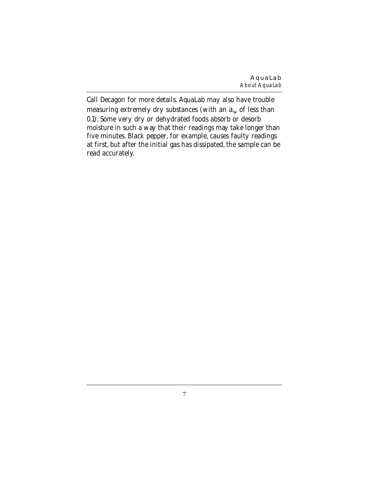Call Decagon for more details. AquaLab may also have trouble measuring extremely dry substances (with an  $a_w$  of less than 0.1). Some very dry or dehydrated foods absorb or desorb moisture in such a way that their readings may take longer than five minutes. Black pepper, for example, causes faulty readings at first, but after the initial gas has dissipated, the sample can be read accurately.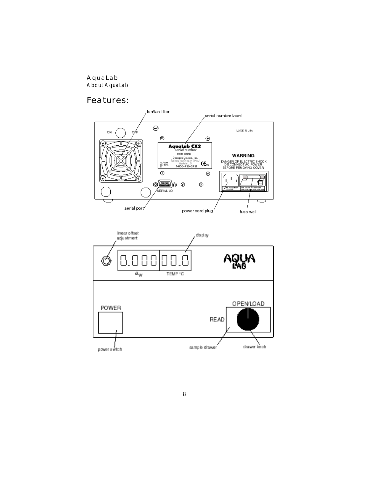*About AquaLab*

# **Features:**

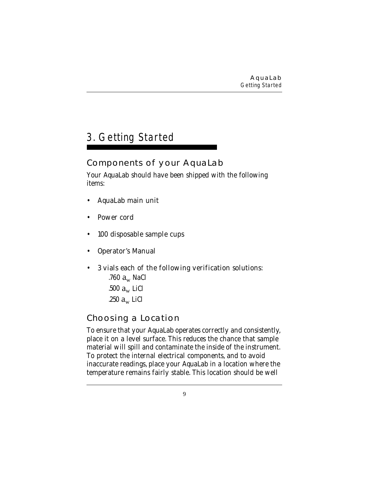# 3. Getting Started

# **Components of your AquaLab**

Your AquaLab should have been shipped with the following items:

- AquaLab main unit
- Power cord
- 100 disposable sample cups
- Operator's Manual
- 3 vials each of the following verification solutions: .760  $a_w$  NaCl .500  $a_w$  LiCl .250  $a_w$  LiCl

# **Choosing a Location**

To ensure that your AquaLab operates correctly and consistently, place it on a level surface. This reduces the chance that sample material will spill and contaminate the inside of the instrument. To protect the internal electrical components, and to avoid inaccurate readings, place your AquaLab in a location where the temperature remains fairly stable. This location should be well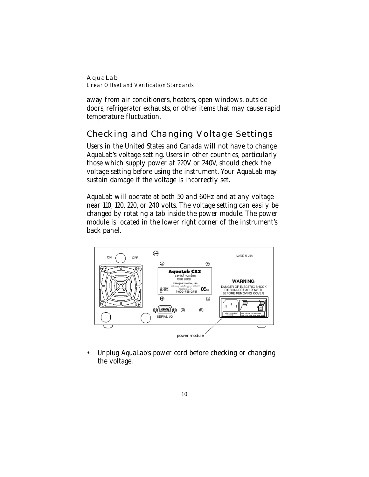#### **AquaLab** *Linear Offset and Verification Standards*

away from air conditioners, heaters, open windows, outside doors, refrigerator exhausts, or other items that may cause rapid temperature fluctuation.

# **Checking and Changing Voltage Settings**

Users in the United States and Canada will not have to change AquaLab's voltage setting. Users in other countries, particularly those which supply power at 220V or 240V, should check the voltage setting before using the instrument. Your AquaLab may sustain damage if the voltage is incorrectly set.

AquaLab will operate at both 50 and 60Hz and at any voltage near 110, 120, 220, or 240 volts. The voltage setting can easily be changed by rotating a tab inside the power module. The power module is located in the lower right corner of the instrument's back panel.



• Unplug AquaLab's power cord before checking or changing the voltage.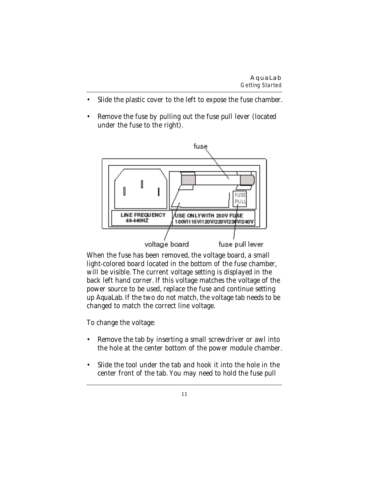- Slide the plastic cover to the left to expose the fuse chamber.
- Remove the fuse by pulling out the fuse pull lever (located under the fuse to the right).



When the fuse has been removed, the voltage board, a small light-colored board located in the bottom of the fuse chamber, will be visible. The current voltage setting is displayed in the back left hand corner. If this voltage matches the voltage of the power source to be used, replace the fuse and continue setting up AquaLab. If the two do not match, the voltage tab needs to be changed to match the correct line voltage.

To change the voltage:

- Remove the tab by inserting a small screwdriver or awl into the hole at the center bottom of the power module chamber.
- Slide the tool under the tab and hook it into the hole in the center front of the tab. You may need to hold the fuse pull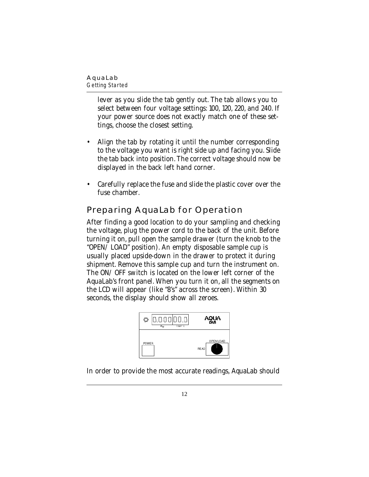*Getting Started*

lever as you slide the tab gently out. The tab allows you to select between four voltage settings: 100, 120, 220, and 240. If your power source does not exactly match one of these settings, choose the closest setting.

- Align the tab by rotating it until the number corresponding to the voltage you want is right side up and facing you. Slide the tab back into position. The correct voltage should now be displayed in the back left hand corner.
- Carefully replace the fuse and slide the plastic cover over the fuse chamber.

# **Preparing AquaLab for Operation**

After finding a good location to do your sampling and checking the voltage, plug the power cord to the back of the unit. Before turning it on, pull open the sample drawer (turn the knob to the "OPEN/LOAD" position). An empty disposable sample cup is usually placed upside-down in the drawer to protect it during shipment. Remove this sample cup and turn the instrument on. The ON/OFF switch is located on the lower left corner of the AquaLab's front panel. When you turn it on, all the segments on the LCD will appear (like "8's" across the screen). Within 30 seconds, the display should show all zeroes.



In order to provide the most accurate readings, AquaLab should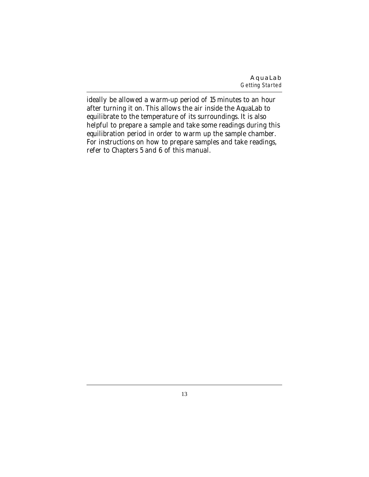**AquaLab** *Getting Started*

ideally be allowed a warm-up period of 15 minutes to an hour after turning it on. This allows the air inside the AquaLab to equilibrate to the temperature of its surroundings. It is also helpful to prepare a sample and take some readings during this equilibration period in order to warm up the sample chamber. For instructions on how to prepare samples and take readings, refer to Chapters 5 and 6 of this manual.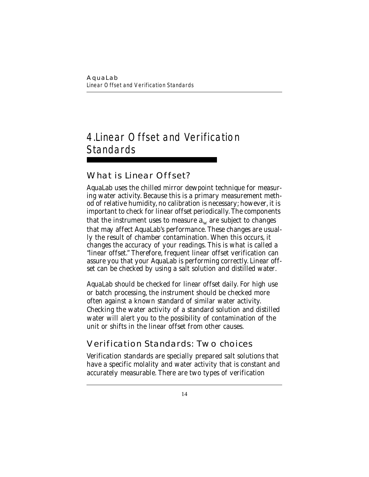# 4.Linear Offset and Verification **Standards**

# **What is Linear Offset?**

AquaLab uses the chilled mirror dewpoint technique for measuring water activity. Because this is a primary measurement method of relative humidity, no calibration is necessary; however, it is important to check for linear offset periodically. The components that the instrument uses to measure  $a_w$  are subject to changes that may affect AquaLab's performance. These changes are usually the result of chamber contamination. When this occurs, it changes the accuracy of your readings. This is what is called a "linear offset." Therefore, frequent linear offset verification can assure you that your AquaLab is performing correctly. Linear offset can be checked by using a salt solution and distilled water.

AquaLab should be checked for linear offset daily. For high use or batch processing, the instrument should be checked more often against a known standard of similar water activity. Checking the water activity of a standard solution and distilled water will alert you to the possibility of contamination of the unit or shifts in the linear offset from other causes.

# **Verification Standards: Two choices**

Verification standards are specially prepared salt solutions that have a specific molality and water activity that is constant and accurately measurable. There are two types of verification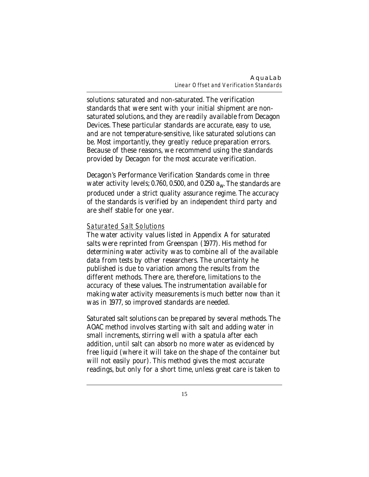solutions: saturated and non-saturated. The verification standards that were sent with your initial shipment are nonsaturated solutions, and they are readily available from Decagon Devices. These particular standards are accurate, easy to use, and are not temperature-sensitive, like saturated solutions can be. Most importantly, they greatly reduce preparation errors. Because of these reasons, we recommend using the standards provided by Decagon for the most accurate verification.

Decagon's Performance Verification Standards come in three water activity levels; 0.760, 0.500, and 0.250  $a_w$ . The standards are produced under a strict quality assurance regime. The accuracy of the standards is verified by an independent third party and are shelf stable for one year.

### Saturated Salt Solutions

The water activity values listed in Appendix A for saturated salts were reprinted from Greenspan (1977). His method for determining water activity was to combine all of the available data from tests by other researchers. The uncertainty he published is due to variation among the results from the different methods. There are, therefore, limitations to the accuracy of these values. The instrumentation available for making water activity measurements is much better now than it was in 1977, so improved standards are needed.

Saturated salt solutions can be prepared by several methods. The AOAC method involves starting with salt and adding water in small increments, stirring well with a spatula after each addition, until salt can absorb no more water as evidenced by free liquid (where it will take on the shape of the container but will not easily pour). This method gives the most accurate readings, but only for a short time, unless great care is taken to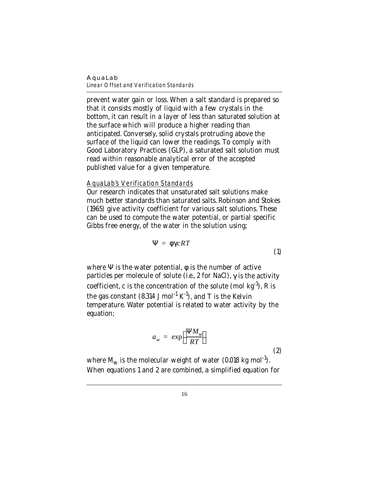#### **AquaLab** *Linear Offset and Verification Standards*

prevent water gain or loss. When a salt standard is prepared so that it consists mostly of liquid with a few crystals in the bottom, it can result in a layer of less than saturated solution at the surface which will produce a higher reading than anticipated. Conversely, solid crystals protruding above the surface of the liquid can lower the readings. To comply with Good Laboratory Practices (GLP), a saturated salt solution must read within reasonable analytical error of the accepted published value for a given temperature.

### AquaLab's Verification Standards

Our research indicates that unsaturated salt solutions make much better standards than saturated salts. Robinson and Stokes (1965) give activity coefficient for various salt solutions. These can be used to compute the water potential, or partial specific Gibbs free energy, of the water in the solution using;

$$
\Psi = \phi \gamma cRT \tag{1}
$$

where  $\Psi$  is the water potential,  $\phi$  is the number of active particles per molecule of solute (i.e., 2 for NaCl),  $\gamma$  is the activity coefficient, c is the concentration of the solute (mol  $kg^{-1}$ ), R is the gas constant  $(8.314 \text{ J mol}^{-1} \text{ K}^{-1})$ , and T is the Kelvin temperature. Water potential is related to water activity by the equation;

$$
a_w = \exp\left(\frac{\Psi M_w}{RT}\right)
$$
 (2)

where  $M_w$  is the molecular weight of water (0.018 kg mol<sup>-1</sup>). When equations 1 and 2 are combined, a simplified equation for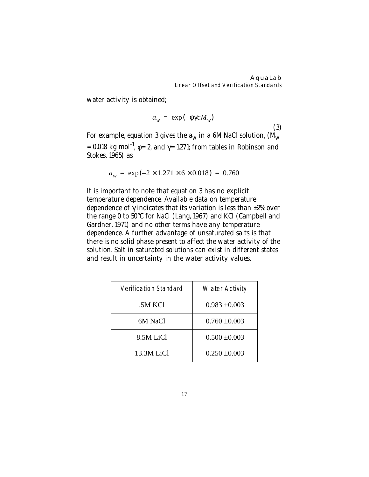water activity is obtained;

$$
a_w = \exp(-\phi \gamma c M_w)
$$

(3)

For example, equation 3 gives the  $a_w$  in a 6M NaCl solution,  $(M_w)$ = 0.018 kg mol<sup>-1</sup>,  $\phi$ = 2, and  $\gamma$ = 1.271; from tables in Robinson and Stokes, 1965) as

$$
a_w = \exp(-2 \times 1.271 \times 6 \times 0.018) = 0.760
$$

It is important to note that equation 3 has no explicit temperature dependence. Available data on temperature dependence of  $\gamma$  indicates that its variation is less than  $\pm 2\%$  over the range 0 to 50°C for NaCl (Lang, 1967) and KCl (Campbell and Gardner, 1971) and no other terms have any temperature dependence. A further advantage of unsaturated salts is that there is no solid phase present to affect the water activity of the solution. Salt in saturated solutions can exist in different states and result in uncertainty in the water activity values.

| Verification Standard | Water Activity    |
|-----------------------|-------------------|
| .5M KCl               | $0.983 \pm 0.003$ |
| 6M NaCl               | $0.760 \pm 0.003$ |
| 8.5M LiCl             | $0.500 \pm 0.003$ |
| 13.3M LiCl            | $0.250 \pm 0.003$ |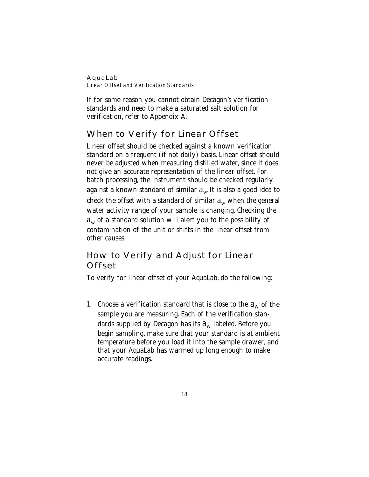#### **AquaLab** *Linear Offset and Verification Standards*

If for some reason you cannot obtain Decagon's verification standards and need to make a saturated salt solution for verification, refer to Appendix A.

# **When to Verify for Linear Offset**

Linear offset should be checked against a known verification standard on a frequent (if not daily) basis. Linear offset should never be adjusted when measuring distilled water, since it does not give an accurate representation of the linear offset. For batch processing, the instrument should be checked regularly against a known standard of similar  $a_w$  It is also a good idea to check the offset with a standard of similar  $a_w$  when the general water activity range of your sample is changing. Checking the  $a_w$  of a standard solution will alert you to the possibility of contamination of the unit or shifts in the linear offset from other causes.

# **How to Verify and Adjust for Linear Offset**

To verify for linear offset of your AquaLab, do the following:

1. Choose a verification standard that is close to the  $a_w$  of the sample you are measuring. Each of the verification standards supplied by Decagon has its  $a_w$  labeled. Before you begin sampling, make sure that your standard is at ambient temperature before you load it into the sample drawer, and that your AquaLab has warmed up long enough to make accurate readings.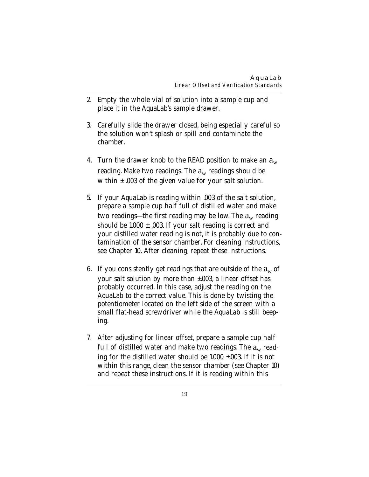- 2. Empty the whole vial of solution into a sample cup and place it in the AquaLab's sample drawer.
- 3. Carefully slide the drawer closed, being especially careful so the solution won't splash or spill and contaminate the chamber.
- 4. Turn the drawer knob to the READ position to make an  $a_w$ reading. Make two readings. The  $a_w$  readings should be within  $\pm$  .003 of the given value for your salt solution.
- 5. If your AquaLab is reading within .003 of the salt solution, prepare a sample cup half full of distilled water and make two readings—the first reading may be low. The  $a_w$  reading should be  $1.000 \pm .003$ . If your salt reading is correct and your distilled water reading is not, it is probably due to contamination of the sensor chamber. For cleaning instructions, see Chapter 10. After cleaning, repeat these instructions.
- 6. If you consistently get readings that are outside of the  $a_w$  of your salt solution by more than ±.003, a linear offset has probably occurred. In this case, adjust the reading on the AquaLab to the correct value. This is done by twisting the potentiometer located on the left side of the screen with a small flat-head screwdriver while the AquaLab is still beeping.
- 7. After adjusting for linear offset, prepare a sample cup half full of distilled water and make two readings. The  $a_w$  reading for the distilled water should be 1.000 ±.003. If it is not within this range, clean the sensor chamber (see Chapter 10) and repeat these instructions. If it is reading within this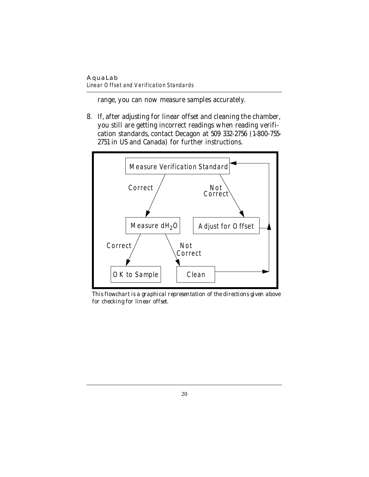*Linear Offset and Verification Standards*

range, you can now measure samples accurately.

8. If, after adjusting for linear offset and cleaning the chamber, you still are getting incorrect readings when reading verification standards, contact Decagon at 509 332-2756 (1-800-755- 2751 in US and Canada) for further instructions.



*This flowchart is a graphical representation of the directions given above for checking for linear offset.*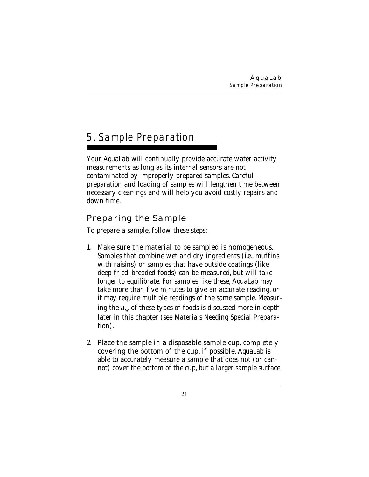# 5. Sample Preparation

Your AquaLab will continually provide accurate water activity measurements as long as its internal sensors are not contaminated by improperly-prepared samples. Careful preparation and loading of samples will lengthen time between necessary cleanings and will help you avoid costly repairs and down time.

# **Preparing the Sample**

To prepare a sample, follow these steps:

- 1. Make sure the material to be sampled is homogeneous. Samples that combine wet and dry ingredients (i.e., muffins with raisins) or samples that have outside coatings (like deep-fried, breaded foods) can be measured, but will take longer to equilibrate. For samples like these, AquaLab may take more than five minutes to give an accurate reading, or it may require multiple readings of the same sample. Measuring the  $a_w$  of these types of foods is discussed more in-depth later in this chapter (see Materials Needing Special Preparation).
- 2. Place the sample in a disposable sample cup, completely covering the bottom of the cup, if possible. AquaLab is able to accurately measure a sample that does not (or cannot) cover the bottom of the cup, but a larger sample surface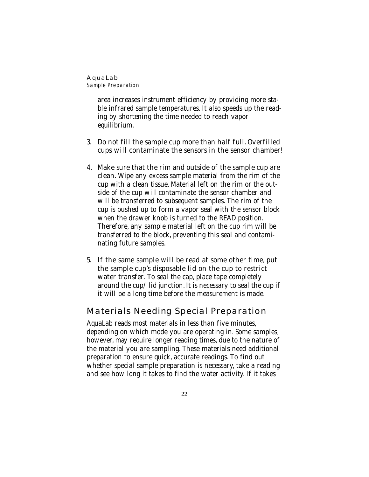*Sample Preparation*

area increases instrument efficiency by providing more stable infrared sample temperatures. It also speeds up the reading by shortening the time needed to reach vapor equilibrium.

- 3. Do not fill the sample cup more than half full. Overfilled cups will contaminate the sensors in the sensor chamber!
- 4. Make sure that the rim and outside of the sample cup are clean. Wipe any excess sample material from the rim of the cup with a clean tissue. Material left on the rim or the outside of the cup will contaminate the sensor chamber and will be transferred to subsequent samples. The rim of the cup is pushed up to form a vapor seal with the sensor block when the drawer knob is turned to the READ position. Therefore, any sample material left on the cup rim will be transferred to the block, preventing this seal and contaminating future samples.
- 5. If the same sample will be read at some other time, put the sample cup's disposable lid on the cup to restrict water transfer. To seal the cap, place tape completely around the cup/lid junction. It is necessary to seal the cup if it will be a long time before the measurement is made.

## **Materials Needing Special Preparation**

AquaLab reads most materials in less than five minutes, depending on which mode you are operating in. Some samples, however, may require longer reading times, due to the nature of the material you are sampling. These materials need additional preparation to ensure quick, accurate readings. To find out whether special sample preparation is necessary, take a reading and see how long it takes to find the water activity. If it takes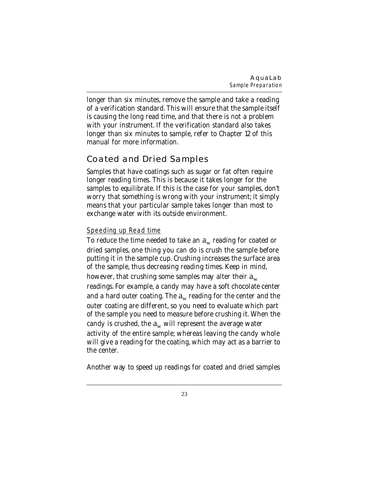longer than six minutes, remove the sample and take a reading of a verification standard. This will ensure that the sample itself is causing the long read time, and that there is not a problem with your instrument. If the verification standard also takes longer than six minutes to sample, refer to Chapter 12 of this manual for more information.

# **Coated and Dried Samples**

Samples that have coatings such as sugar or fat often require longer reading times. This is because it takes longer for the samples to equilibrate. If this is the case for your samples, don't worry that something is wrong with your instrument; it simply means that your particular sample takes longer than most to exchange water with its outside environment.

### Speeding up Read time

To reduce the time needed to take an  $a_w$  reading for coated or dried samples, one thing you can do is crush the sample before putting it in the sample cup. Crushing increases the surface area of the sample, thus decreasing reading times. Keep in mind, however, that crushing some samples may alter their  $a_w$ readings. For example, a candy may have a soft chocolate center and a hard outer coating. The  $a_w$  reading for the center and the outer coating are different, so you need to evaluate which part of the sample you need to measure before crushing it. When the candy is crushed, the  $a_w$  will represent the average water activity of the entire sample; whereas leaving the candy whole will give a reading for the coating, which may act as a barrier to the center.

Another way to speed up readings for coated and dried samples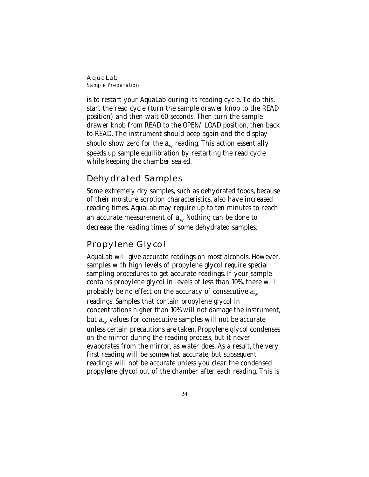#### **AquaLab** *Sample Preparation*

is to restart your AquaLab during its reading cycle. To do this, start the read cycle (turn the sample drawer knob to the READ position) and then wait 60 seconds. Then turn the sample drawer knob from READ to the OPEN/LOAD position, then back to READ. The instrument should beep again and the display should show zero for the  $a_w$  reading. This action essentially speeds up sample equilibration by restarting the read cycle while keeping the chamber sealed.

# **Dehydrated Samples**

Some extremely dry samples, such as dehydrated foods, because of their moisture sorption characteristics, also have increased reading times. AquaLab may require up to ten minutes to reach an accurate measurement of  $a_w$  Nothing can be done to decrease the reading times of some dehydrated samples.

# **Propylene Glycol**

AquaLab will give accurate readings on most alcohols. However, samples with high levels of propylene glycol require special sampling procedures to get accurate readings. If your sample contains propylene glycol in levels of less than 10%, there will probably be no effect on the accuracy of consecutive  $a_w$ readings. Samples that contain propylene glycol in concentrations higher than 10% will not damage the instrument, but  $a_w$  values for consecutive samples will not be accurate unless certain precautions are taken. Propylene glycol condenses on the mirror during the reading process, but it never evaporates from the mirror, as water does. As a result, the very first reading will be somewhat accurate, but subsequent readings will not be accurate unless you clear the condensed propylene glycol out of the chamber after each reading. This is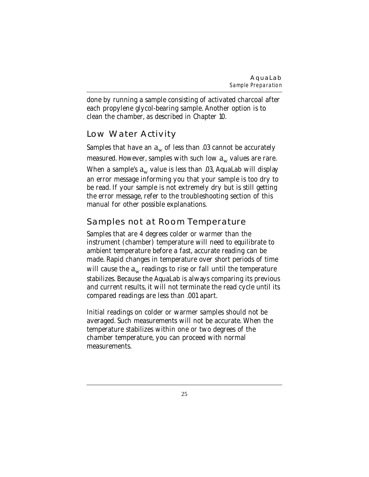done by running a sample consisting of activated charcoal after each propylene glycol-bearing sample. Another option is to clean the chamber, as described in Chapter 10.

# **Low Water Activity**

Samples that have an  $a_w$  of less than .03 cannot be accurately measured. However, samples with such low  $a_w$  values are rare. When a sample's  $a_w$  value is less than .03, AquaLab will display an error message informing you that your sample is too dry to be read. If your sample is not extremely dry but is still getting the error message, refer to the troubleshooting section of this manual for other possible explanations.

# **Samples not at Room Temperature**

Samples that are 4 degrees colder or warmer than the instrument (chamber) temperature will need to equilibrate to ambient temperature before a fast, accurate reading can be made. Rapid changes in temperature over short periods of time will cause the  $a_w$  readings to rise or fall until the temperature stabilizes. Because the AquaLab is always comparing its previous and current results, it will not terminate the read cycle until its compared readings are less than .001 apart.

Initial readings on colder or warmer samples should not be averaged. Such measurements will not be accurate. When the temperature stabilizes within one or two degrees of the chamber temperature, you can proceed with normal measurements.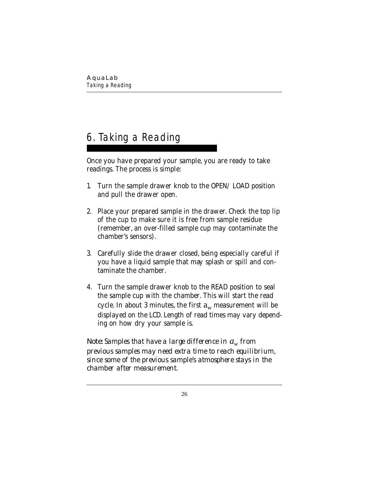# 6. Taking a Reading

Once you have prepared your sample, you are ready to take readings. The process is simple:

- 1. Turn the sample drawer knob to the OPEN/LOAD position and pull the drawer open.
- 2. Place your prepared sample in the drawer. Check the top lip of the cup to make sure it is free from sample residue (remember, an over-filled sample cup may contaminate the chamber's sensors).
- 3. Carefully slide the drawer closed, being especially careful if you have a liquid sample that may splash or spill and contaminate the chamber.
- 4. Turn the sample drawer knob to the READ position to seal the sample cup with the chamber. This will start the read cycle. In about 3 minutes, the first  $a_w$  measurement will be displayed on the LCD. Length of read times may vary depending on how dry your sample is.

*Note: Samples that have a large difference in aw from previous samples may need extra time to reach equilibrium, since some of the previous sample's atmosphere stays in the chamber after measurement.*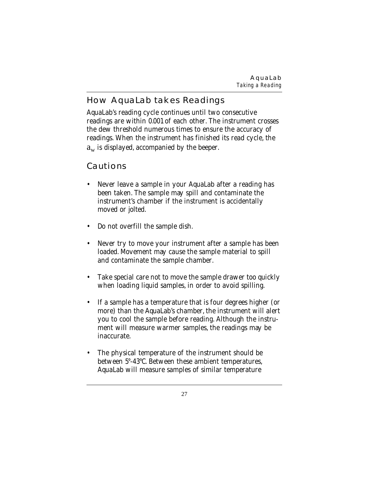**AquaLab** *Taking a Reading*

# **How AquaLab takes Readings**

AquaLab's reading cycle continues until two consecutive readings are within 0.001 of each other. The instrument crosses the dew threshold numerous times to ensure the accuracy of readings. When the instrument has finished its read cycle, the  $a_w$  is displayed, accompanied by the beeper.

## **Cautions**

- Never leave a sample in your AquaLab after a reading has been taken. The sample may spill and contaminate the instrument's chamber if the instrument is accidentally moved or jolted.
- Do not overfill the sample dish.
- Never try to move your instrument after a sample has been loaded. Movement may cause the sample material to spill and contaminate the sample chamber.
- Take special care not to move the sample drawer too quickly when loading liquid samples, in order to avoid spilling.
- If a sample has a temperature that is four degrees higher (or more) than the AquaLab's chamber, the instrument will alert you to cool the sample before reading. Although the instrument will measure warmer samples, the readings may be inaccurate.
- The physical temperature of the instrument should be between 5°-43°C. Between these ambient temperatures, AquaLab will measure samples of similar temperature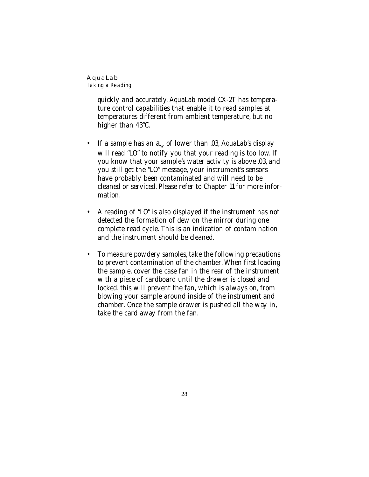*Taking a Reading*

quickly and accurately. AquaLab model CX-2T has temperature control capabilities that enable it to read samples at temperatures different from ambient temperature, but no higher than 43°C.

- If a sample has an  $a_w$  of lower than .03, AquaLab's display will read "LO" to notify you that your reading is too low. If you know that your sample's water activity is above .03, and you still get the "LO" message, your instrument's sensors have probably been contaminated and will need to be cleaned or serviced. Please refer to Chapter 11 for more information.
- A reading of "LO" is also displayed if the instrument has not detected the formation of dew on the mirror during one complete read cycle. This is an indication of contamination and the instrument should be cleaned.
- To measure powdery samples, take the following precautions to prevent contamination of the chamber. When first loading the sample, cover the case fan in the rear of the instrument with a piece of cardboard until the drawer is closed and locked. this will prevent the fan, which is always on, from blowing your sample around inside of the instrument and chamber. Once the sample drawer is pushed all the way in, take the card away from the fan.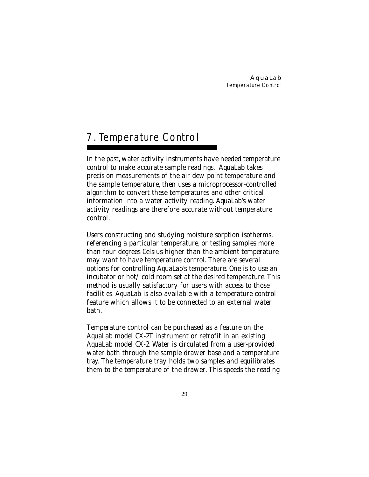# 7. Temperature Control

In the past, water activity instruments have needed temperature control to make accurate sample readings. AquaLab takes precision measurements of the air dew point temperature and the sample temperature, then uses a microprocessor-controlled algorithm to convert these temperatures and other critical information into a water activity reading. AquaLab's water activity readings are therefore accurate without temperature control.

Users constructing and studying moisture sorption isotherms, referencing a particular temperature, or testing samples more than four degrees Celsius higher than the ambient temperature may want to have temperature control. There are several options for controlling AquaLab's temperature. One is to use an incubator or hot  $\ell$  cold room set at the desired temperature. This method is usually satisfactory for users with access to those facilities. AquaLab is also available with a temperature control feature which allows it to be connected to an external water bath.

Temperature control can be purchased as a feature on the AquaLab model CX-2T instrument or retrofit in an existing AquaLab model CX-2. Water is circulated from a user-provided water bath through the sample drawer base and a temperature tray. The temperature tray holds two samples and equilibrates them to the temperature of the drawer. This speeds the reading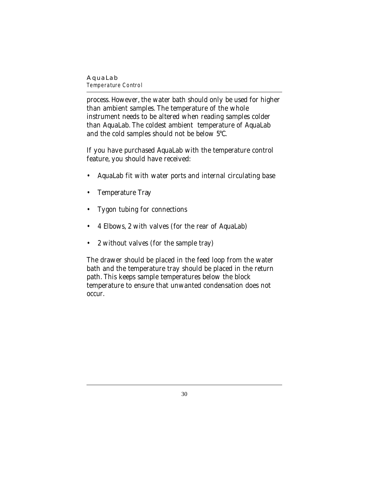#### **AquaLab** *Temperature Control*

process. However, the water bath should only be used for higher than ambient samples. The temperature of the whole instrument needs to be altered when reading samples colder than AquaLab. The coldest ambient temperature of AquaLab and the cold samples should not be below 5°C.

If you have purchased AquaLab with the temperature control feature, you should have received:

- AquaLab fit with water ports and internal circulating base
- Temperature Tray
- Tygon tubing for connections
- 4 Elbows, 2 with valves (for the rear of AquaLab)
- 2 without valves (for the sample tray)

The drawer should be placed in the feed loop from the water bath and the temperature tray should be placed in the return path. This keeps sample temperatures below the block temperature to ensure that unwanted condensation does not occur.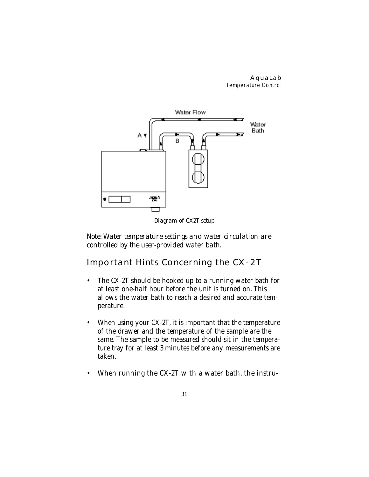#### **AquaLab** *Temperature Control*



*Diagram of CX2T setup*

*Note: Water temperature settings and water circulation are controlled by the user-provided water bath.*

# **Important Hints Concerning the CX-2T**

- The CX-2T should be hooked up to a running water bath for at least one-half hour before the unit is turned on. This allows the water bath to reach a desired and accurate temperature.
- When using your CX-2T, it is important that the temperature of the drawer and the temperature of the sample are the same. The sample to be measured should sit in the temperature tray for at least 3 minutes before any measurements are taken.
- When running the CX-2T with a water bath, the instru-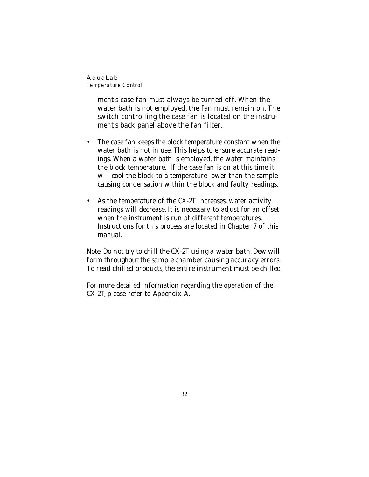*Temperature Control*

ment's case fan must always be turned off. When the water bath is not employed, the fan must remain on. The switch controlling the case fan is located on the instrument's back panel above the fan filter.

- The case fan keeps the block temperature constant when the water bath is not in use. This helps to ensure accurate readings. When a water bath is employed, the water maintains the block temperature. If the case fan is on at this time it will cool the block to a temperature lower than the sample causing condensation within the block and faulty readings.
- As the temperature of the CX-2T increases, water activity readings will decrease. It is necessary to adjust for an offset when the instrument is run at different temperatures. Instructions for this process are located in Chapter 7 of this manual.

*Note: Do not try to chill the CX-2T using a water bath. Dew will form throughout the sample chamber causing accuracy errors. To read chilled products, the entire instrument must be chilled.*

For more detailed information regarding the operation of the CX-2T, please refer to Appendix A.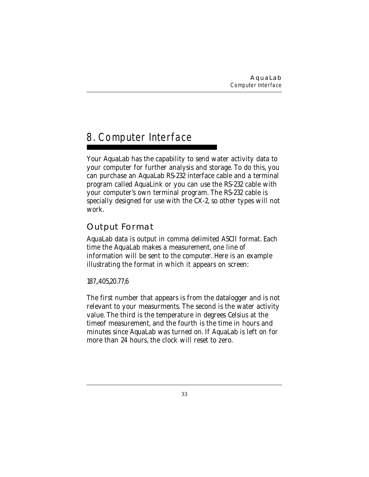# 8. Computer Interface

Your AquaLab has the capability to send water activity data to your computer for further analysis and storage. To do this, you can purchase an AquaLab RS-232 interface cable and a terminal program called AquaLink or you can use the RS-232 cable with your computer's own terminal program. The RS-232 cable is specially designed for use with the CX-2, so other types will not work.

# **Output Format**

AquaLab data is output in comma delimited ASCII format. Each time the AquaLab makes a measurement, one line of information will be sent to the computer. Here is an example illustrating the format in which it appears on screen:

187,.405,20.77,6

The first number that appears is from the datalogger and is not relevant to your measurments. The second is the water activity value. The third is the temperature in degrees Celsius at the timeof measurement, and the fourth is the time in hours and minutes since AquaLab was turned on. If AquaLab is left on for more than 24 hours, the clock will reset to zero.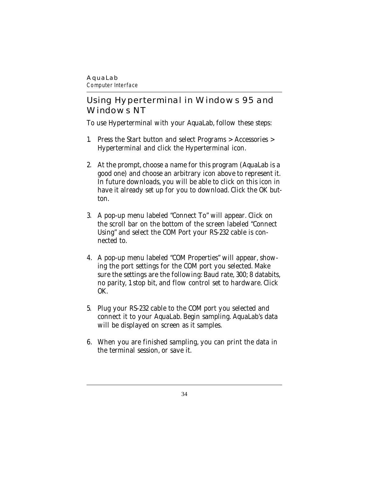*Computer Interface*

## **Using Hyperterminal in Windows 95 and Windows NT**

To use Hyperterminal with your AquaLab, follow these steps:

- 1. Press the Start button and select Programs > Accessories > Hyperterminal and click the Hyperterminal icon.
- 2. At the prompt, choose a name for this program (AquaLab is a good one) and choose an arbitrary icon above to represent it. In future downloads, you will be able to click on this icon in have it already set up for you to download. Click the OK button.
- 3. A pop-up menu labeled "Connect To" will appear. Click on the scroll bar on the bottom of the screen labeled "Connect Using" and select the COM Port your RS-232 cable is connected to.
- 4. A pop-up menu labeled "COM Properties" will appear, showing the port settings for the COM port you selected. Make sure the settings are the following: Baud rate, 300; 8 databits, no parity, 1 stop bit, and flow control set to hardware. Click OK.
- 5. Plug your RS-232 cable to the COM port you selected and connect it to your AquaLab. Begin sampling. AquaLab's data will be displayed on screen as it samples.
- 6. When you are finished sampling, you can print the data in the terminal session, or save it.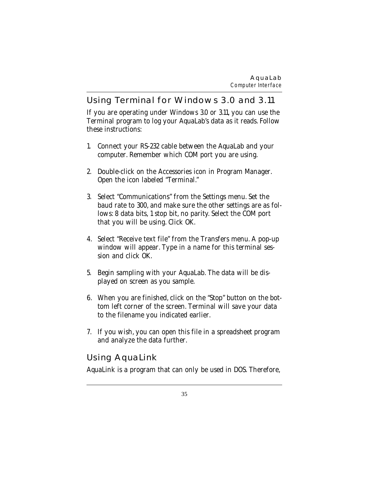## **Using Terminal for Windows 3.0 and 3.11**

If you are operating under Windows 3.0 or 3.11, you can use the Terminal program to log your AquaLab's data as it reads. Follow these instructions:

- 1. Connect your RS-232 cable between the AquaLab and your computer. Remember which COM port you are using.
- 2. Double-click on the Accessories icon in Program Manager. Open the icon labeled "Terminal."
- 3. Select "Communications" from the Settings menu. Set the baud rate to 300, and make sure the other settings are as follows: 8 data bits, 1 stop bit, no parity. Select the COM port that you will be using. Click OK.
- 4. Select "Receive text file" from the Transfers menu. A pop-up window will appear. Type in a name for this terminal session and click OK.
- 5. Begin sampling with your AquaLab. The data will be displayed on screen as you sample.
- 6. When you are finished, click on the "Stop" button on the bottom left corner of the screen. Terminal will save your data to the filename you indicated earlier.
- 7. If you wish, you can open this file in a spreadsheet program and analyze the data further.

# **Using AquaLink**

AquaLink is a program that can only be used in DOS. Therefore,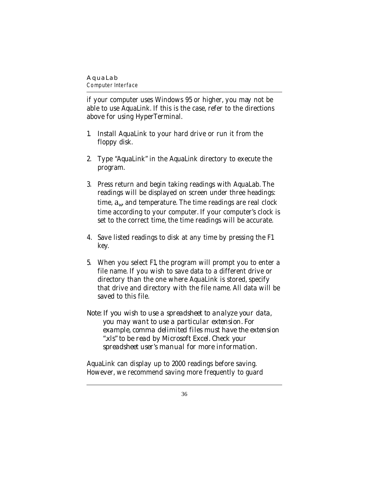*Computer Interface*

if your computer uses Windows 95 or higher, you may not be able to use AquaLink. If this is the case, refer to the directions above for using HyperTerminal.

- 1. Install AquaLink to your hard drive or run it from the floppy disk.
- 2. Type "AquaLink" in the AquaLink directory to execute the program.
- 3. Press return and begin taking readings with AquaLab. The readings will be displayed on screen under three headings: time,  $a_w$  and temperature. The time readings are real clock time according to your computer. If your computer's clock is set to the correct time, the time readings will be accurate.
- 4. Save listed readings to disk at any time by pressing the F1 key.
- 5. When you select F1, the program will prompt you to enter a file name. If you wish to save data to a different drive or directory than the one where AquaLink is stored, specify that drive and directory with the file name. All data will be saved to this file.
- *Note: If you wish to use a spreadsheet to analyze your data, you may want to use a particular extension. For example, comma delimited files must have the extension ".xls" to be read by Microsoft Excel. Check your spreadsheet user's manual for more information.*

AquaLink can display up to 2000 readings before saving. However, we recommend saving more frequently to guard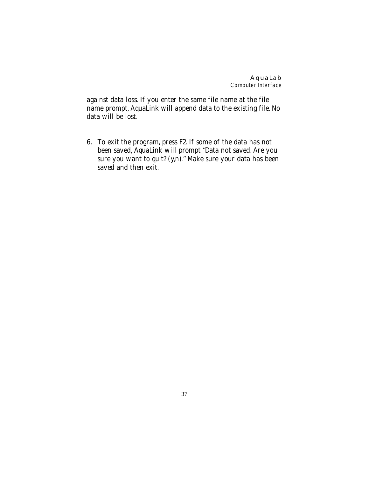against data loss. If you enter the same file name at the file name prompt, AquaLink will append data to the existing file. No data will be lost.

6. To exit the program, press F2. If some of the data has not been saved, AquaLink will prompt "Data not saved. Are you sure you want to quit? (y,n)." Make sure your data has been saved and then exit.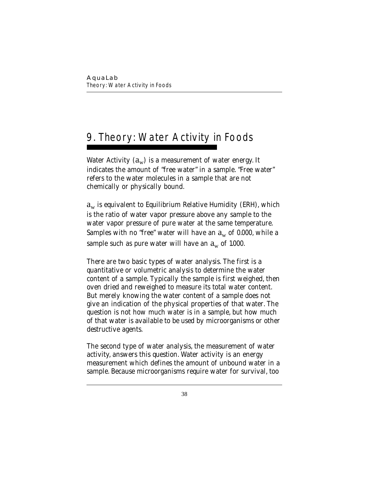# 9. Theory: Water Activity in Foods

Water Activity  $(a_w)$  is a measurement of water energy. It indicates the amount of "free water" in a sample. "Free water" refers to the water molecules in a sample that are not chemically or physically bound.

 $a_w$  is equivalent to Equilibrium Relative Humidity (ERH), which is the ratio of water vapor pressure above any sample to the water vapor pressure of pure water at the same temperature. Samples with no "free" water will have an  $a_w$  of 0.000, while a sample such as pure water will have an  $a_w$  of 1.000.

There are two basic types of water analysis. The first is a quantitative or volumetric analysis to determine the water content of a sample. Typically the sample is first weighed, then oven dried and reweighed to measure its total water content. But merely knowing the water content of a sample does not give an indication of the physical properties of that water. The question is not how much water is in a sample, but how much of that water is available to be used by microorganisms or other destructive agents.

The second type of water analysis, the measurement of water activity, answers this question. Water activity is an energy measurement which defines the amount of unbound water in a sample. Because microorganisms require water for survival, too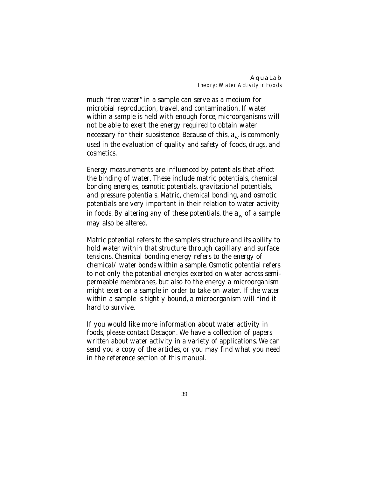much "free water" in a sample can serve as a medium for microbial reproduction, travel, and contamination. If water within a sample is held with enough force, microorganisms will not be able to exert the energy required to obtain water necessary for their subsistence. Because of this,  $a_w$  is commonly used in the evaluation of quality and safety of foods, drugs, and cosmetics.

Energy measurements are influenced by potentials that affect the binding of water. These include matric potentials, chemical bonding energies, osmotic potentials, gravitational potentials, and pressure potentials. Matric, chemical bonding, and osmotic potentials are very important in their relation to water activity in foods. By altering any of these potentials, the  $a_w$  of a sample may also be altered.

Matric potential refers to the sample's structure and its ability to hold water within that structure through capillary and surface tensions. Chemical bonding energy refers to the energy of chemical/water bonds within a sample. Osmotic potential refers to not only the potential energies exerted on water across semipermeable membranes, but also to the energy a microorganism might exert on a sample in order to take on water. If the water within a sample is tightly bound, a microorganism will find it hard to survive.

If you would like more information about water activity in foods, please contact Decagon. We have a collection of papers written about water activity in a variety of applications. We can send you a copy of the articles, or you may find what you need in the reference section of this manual.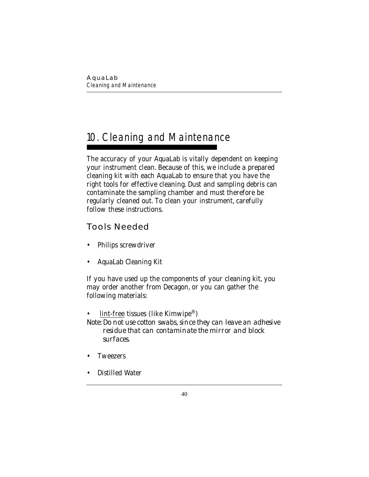# 10. Cleaning and Maintenance

The accuracy of your AquaLab is vitally dependent on keeping your instrument clean. Because of this, we include a prepared cleaning kit with each AquaLab to ensure that you have the right tools for effective cleaning. Dust and sampling debris can contaminate the sampling chamber and must therefore be regularly cleaned out. To clean your instrument, carefully follow these instructions.

# **Tools Needed**

- Philips screwdriver
- AquaLab Cleaning Kit

If you have used up the components of your cleaning kit, you may order another from Decagon, or you can gather the following materials:

 $lint-free$  tissues (like Kimwipe<sup>®</sup>)</u> *Note: Do not use cotton swabs, since they can leave an adhesive residue that can contaminate the mirror and block surfaces.*

- **Tweezers**
- Distilled Water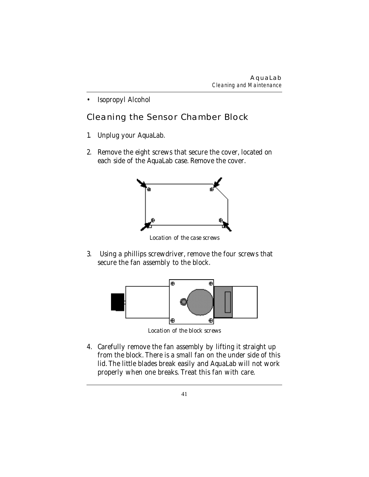• Isopropyl Alcohol

# **Cleaning the Sensor Chamber Block**

- 1. Unplug your AquaLab.
- 2. Remove the eight screws that secure the cover, located on each side of the AquaLab case. Remove the cover.



*Location of the case screws*

3. Using a phillips screwdriver, remove the four screws that secure the fan assembly to the block.



*Location of the block screws*

4. Carefully remove the fan assembly by lifting it straight up from the block. There is a small fan on the under side of this lid. The little blades break easily and AquaLab will not work properly when one breaks. Treat this fan with care.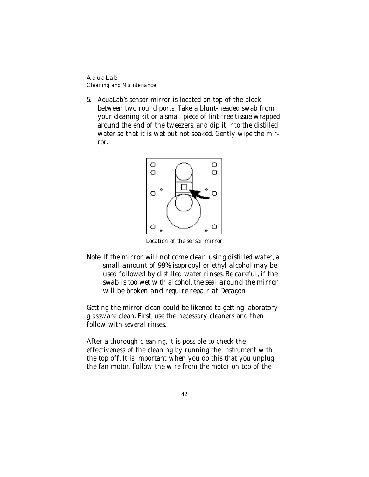*Cleaning and Maintenance*

5. AquaLab's sensor mirror is located on top of the block between two round ports. Take a blunt-headed swab from your cleaning kit or a small piece of lint-free tissue wrapped around the end of the tweezers, and dip it into the distilled water so that it is wet but not soaked. Gently wipe the mirror.



*Location of the sensor mirror*

*Note: If the mirror will not come clean using distilled water, a small amount of 99% isopropyl or ethyl alcohol may be used followed by distilled water rinses. Be careful, if the swab is too wet with alcohol, the seal around the mirror will be broken and require repair at Decagon.*

Getting the mirror clean could be likened to getting laboratory glassware clean. First, use the necessary cleaners and then follow with several rinses.

After a thorough cleaning, it is possible to check the effectiveness of the cleaning by running the instrument with the top off. It is important when you do this that you unplug the fan motor. Follow the wire from the motor on top of the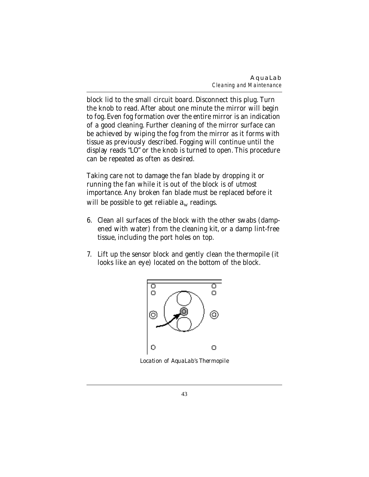block lid to the small circuit board. Disconnect this plug. Turn the knob to read. After about one minute the mirror will begin to fog. Even fog formation over the entire mirror is an indication of a good cleaning. Further cleaning of the mirror surface can be achieved by wiping the fog from the mirror as it forms with tissue as previously described. Fogging will continue until the display reads "LO" or the knob is turned to open. This procedure can be repeated as often as desired.

Taking care not to damage the fan blade by dropping it or running the fan while it is out of the block is of utmost importance. Any broken fan blade must be replaced before it will be possible to get reliable  $a_w$  readings.

- 6. Clean all surfaces of the block with the other swabs (dampened with water) from the cleaning kit, or a damp lint-free tissue, including the port holes on top.
- 7. Lift up the sensor block and gently clean the thermopile (it looks like an eye) located on the bottom of the block.



*Location of AquaLab's Thermopile*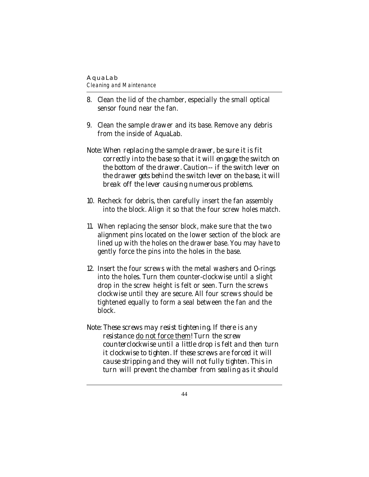*Cleaning and Maintenance*

- 8. Clean the lid of the chamber, especially the small optical sensor found near the fan.
- 9. Clean the sample drawer and its base. Remove any debris from the inside of AquaLab.
- *Note: When replacing the sample drawer, be sure it is fit correctly into the base so that it will engage the switch on the bottom of the drawer. Caution-- if the switch lever on the drawer gets behind the switch lever on the base, it will break off the lever causing numerous problems.*
- 10. Recheck for debris, then carefully insert the fan assembly into the block. Align it so that the four screw holes match.
- 11. When replacing the sensor block, make sure that the two alignment pins located on the lower section of the block are lined up with the holes on the drawer base. You may have to gently force the pins into the holes in the base.
- 12. Insert the four screws with the metal washers and O-rings into the holes. Turn them counter-clockwise until a slight drop in the screw height is felt or seen. Turn the screws clockwise until they are secure. All four screws should be tightened equally to form a seal between the fan and the block.
- *Note: These screws may resist tightening. If there is any resistance do not force them! Turn the screw counterclockwise until a little drop is felt and then turn it clockwise to tighten. If these screws are forced it will cause stripping and they will not fully tighten. This in turn will prevent the chamber from sealing as it should*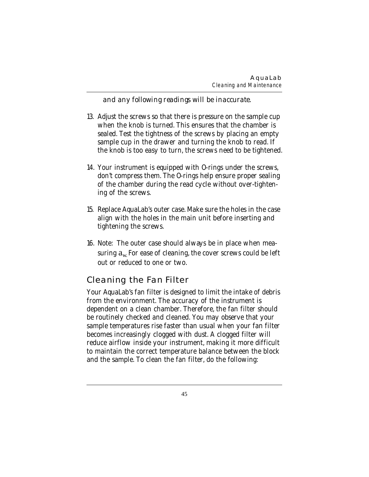*and any following readings will be inaccurate.*

- 13. Adjust the screws so that there is pressure on the sample cup when the knob is turned. This ensures that the chamber is sealed. Test the tightness of the screws by placing an empty sample cup in the drawer and turning the knob to read. If the knob is too easy to turn, the screws need to be tightened.
- 14. Your instrument is equipped with O-rings under the screws, don't compress them. The O-rings help ensure proper sealing of the chamber during the read cycle without over-tightening of the screws.
- 15. Replace AquaLab's outer case. Make sure the holes in the case align with the holes in the main unit before inserting and tightening the screws.
- 16. Note: The outer case should always be in place when measuring  $a_w$  For ease of cleaning, the cover screws could be left out or reduced to one or two.

# **Cleaning the Fan Filter**

Your AquaLab's fan filter is designed to limit the intake of debris from the environment. The accuracy of the instrument is dependent on a clean chamber. Therefore, the fan filter should be routinely checked and cleaned. You may observe that your sample temperatures rise faster than usual when your fan filter becomes increasingly clogged with dust. A clogged filter will reduce airflow inside your instrument, making it more difficult to maintain the correct temperature balance between the block and the sample. To clean the fan filter, do the following: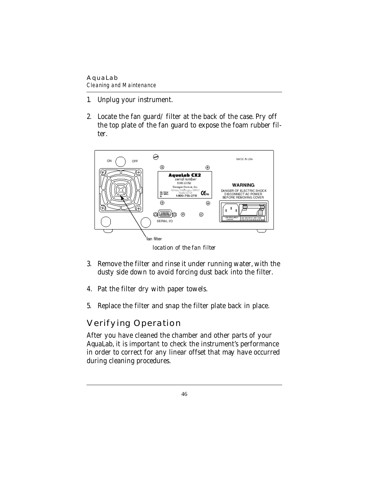*Cleaning and Maintenance*

- 1. Unplug your instrument.
- 2. Locate the fan guard/filter at the back of the case. Pry off the top plate of the fan guard to expose the foam rubber filter.



*location of the fan filter*

- 3. Remove the filter and rinse it under running water, with the dusty side down to avoid forcing dust back into the filter.
- 4. Pat the filter dry with paper towels.
- 5. Replace the filter and snap the filter plate back in place.

# **Verifying Operation**

After you have cleaned the chamber and other parts of your AquaLab, it is important to check the instrument's performance in order to correct for any linear offset that may have occurred during cleaning procedures.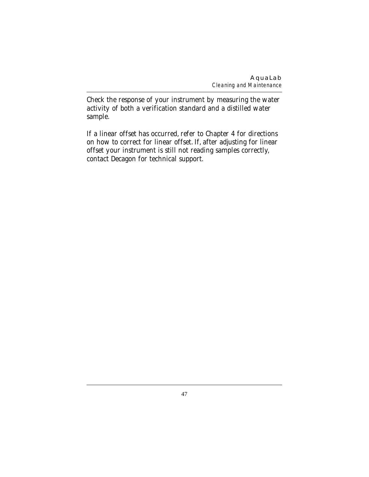Check the response of your instrument by measuring the water activity of both a verification standard and a distilled water sample.

If a linear offset has occurred, refer to Chapter 4 for directions on how to correct for linear offset. If, after adjusting for linear offset your instrument is still not reading samples correctly, contact Decagon for technical support.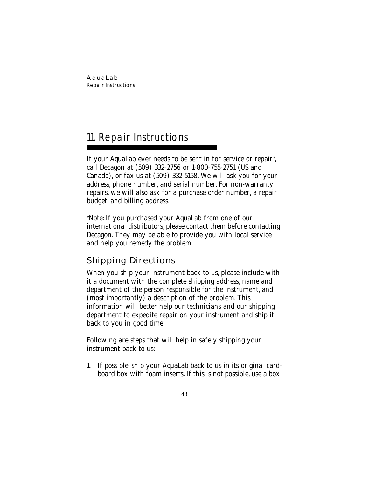# 11. Repair Instructions

If your AquaLab ever needs to be sent in for service or repair\*, call Decagon at (509) 332-2756 or 1-800-755-2751 (US and Canada), or fax us at (509) 332-5158. We will ask you for your address, phone number, and serial number. For non-warranty repairs, we will also ask for a purchase order number, a repair budget, and billing address.

\*Note: If you purchased your AquaLab from one of our international distributors, please contact them before contacting Decagon. They may be able to provide you with local service and help you remedy the problem.

# **Shipping Directions**

When you ship your instrument back to us, please include with it a document with the complete shipping address, name and department of the person responsible for the instrument, and (most importantly) a description of the problem. This information will better help our technicians and our shipping department to expedite repair on your instrument and ship it back to you in good time.

Following are steps that will help in safely shipping your instrument back to us:

1. If possible, ship your AquaLab back to us in its original cardboard box with foam inserts. If this is not possible, use a box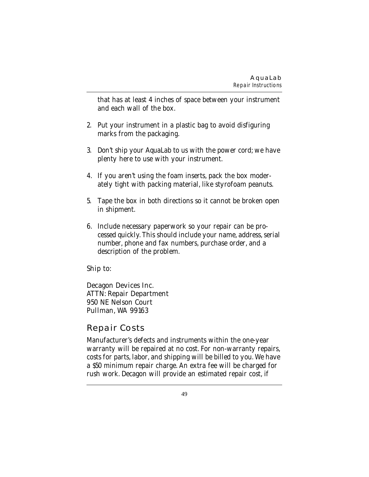that has at least 4 inches of space between your instrument and each wall of the box.

- 2. Put your instrument in a plastic bag to avoid disfiguring marks from the packaging.
- 3. Don't ship your AquaLab to us with the power cord; we have plenty here to use with your instrument.
- 4. If you aren't using the foam inserts, pack the box moderately tight with packing material, like styrofoam peanuts.
- 5. Tape the box in both directions so it cannot be broken open in shipment.
- 6. Include necessary paperwork so your repair can be processed quickly. This should include your name, address, serial number, phone and fax numbers, purchase order, and a description of the problem.

### Ship to:

Decagon Devices Inc. ATTN: Repair Department 950 NE Nelson Court Pullman, WA 99163

## **Repair Costs**

Manufacturer's defects and instruments within the one-year warranty will be repaired at no cost. For non-warranty repairs, costs for parts, labor, and shipping will be billed to you. We have a \$50 minimum repair charge. An extra fee will be charged for rush work. Decagon will provide an estimated repair cost, if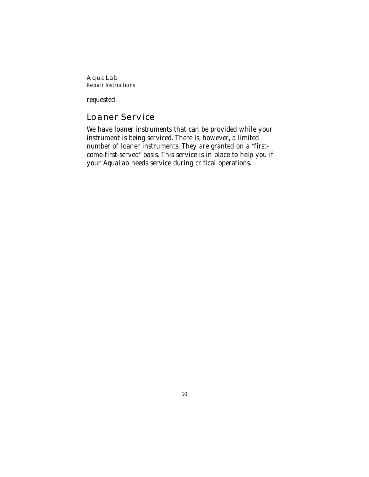#### **AquaLab** *Repair Instructions*

requested.

# **Loaner Service**

We have loaner instruments that can be provided while your instrument is being serviced. There is, however, a limited number of loaner instruments. They are granted on a "firstcome-first-served" basis. This service is in place to help you if your AquaLab needs service during critical operations.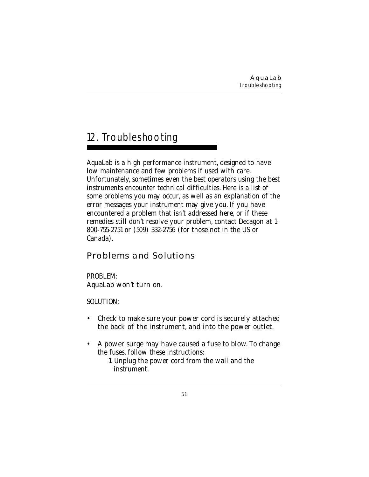# 12. Troubleshooting

AquaLab is a high performance instrument, designed to have low maintenance and few problems if used with care. Unfortunately, sometimes even the best operators using the best instruments encounter technical difficulties. Here is a list of some problems you may occur, as well as an explanation of the error messages your instrument may give you. If you have encountered a problem that isn't addressed here, or if these remedies still don't resolve your problem, contact Decagon at 1- 800-755-2751 or (509) 332-2756 (for those not in the US or Canada).

# **Problems and Solutions**

PROBLEM: AquaLab won't turn on.

SOLUTION:

- Check to make sure your power cord is securely attached the back of the instrument, and into the power outlet.
- A power surge may have caused a fuse to blow. To change the fuses, follow these instructions:
	- 1. Unplug the power cord from the wall and the instrument.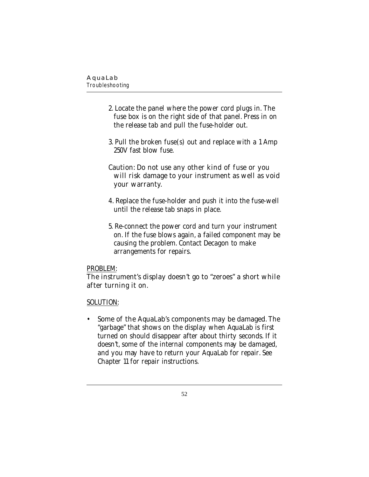- 2. Locate the panel where the power cord plugs in. The fuse box is on the right side of that panel. Press in on the release tab and pull the fuse-holder out.
- 3. Pull the broken fuse(s) out and replace with a 1 Amp 250V fast blow fuse.

### Caution: Do not use any other kind of fuse or you will risk damage to your instrument as well as void your warranty.

- 4. Replace the fuse-holder and push it into the fuse-well until the release tab snaps in place.
- 5. Re-connect the power cord and turn your instrument on. If the fuse blows again, a failed component may be causing the problem. Contact Decagon to make arrangements for repairs.

### PROBLEM:

### The instrument's display doesn't go to "zeroes" a short while after turning it on.

### SOLUTION:

• Some of the AquaLab's components may be damaged. The "garbage" that shows on the display when AquaLab is first turned on should disappear after about thirty seconds. If it doesn't, some of the internal components may be damaged, and you may have to return your AquaLab for repair. See Chapter 11 for repair instructions.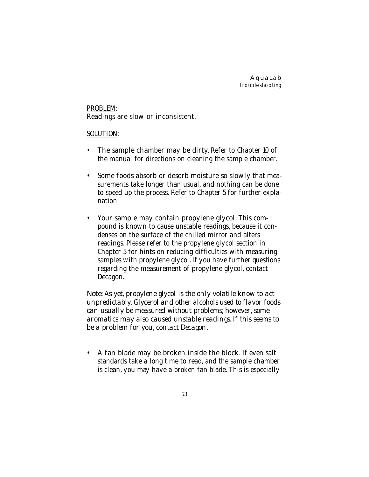### PROBLEM: Readings are slow or inconsistent.

#### SOLUTION:

- The sample chamber may be dirty. Refer to Chapter 10 of the manual for directions on cleaning the sample chamber.
- Some foods absorb or desorb moisture so slowly that measurements take longer than usual, and nothing can be done to speed up the process. Refer to Chapter 5 for further explanation.
- Your sample may contain propylene glycol. This compound is known to cause unstable readings, because it condenses on the surface of the chilled mirror and alters readings. Please refer to the propylene glycol section in Chapter 5 for hints on reducing difficulties with measuring samples with propylene glycol. If you have further questions regarding the measurement of propylene glycol, contact Decagon.

*Note: As yet, propylene glycol is the only volatile know to act unpredictably. Glycerol and other alcohols used to flavor foods can usually be measured without problems; however, some aromatics may also caused unstable readings. If this seems to be a problem for you, contact Decagon.*

• A fan blade may be broken inside the block. If even salt standards take a long time to read, and the sample chamber is clean, you may have a broken fan blade. This is especially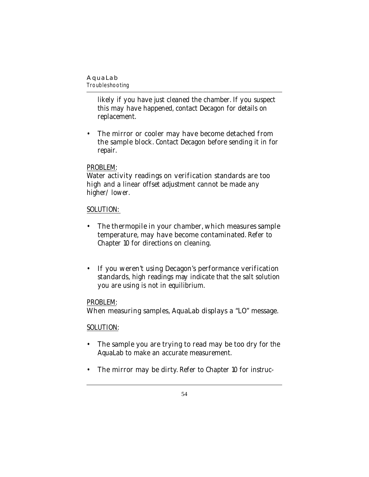*Troubleshooting* 

likely if you have just cleaned the chamber. If you suspect this may have happened, contact Decagon for details on replacement.

• The mirror or cooler may have become detached from the sample block. Contact Decagon before sending it in for repair.

### PROBLEM:

Water activity readings on verification standards are too high and a linear offset adjustment cannot be made any higher/lower.

### SOLUTION:

- The thermopile in your chamber, which measures sample temperature, may have become contaminated. Refer to Chapter 10 for directions on cleaning.
- If you weren't using Decagon's performance verification standards, high readings may indicate that the salt solution you are using is not in equilibrium.

### PROBLEM:

When measuring samples, AquaLab displays a "LO" message.

### SOLUTION:

- The sample you are trying to read may be too dry for the AquaLab to make an accurate measurement.
- The mirror may be dirty. Refer to Chapter 10 for instruc-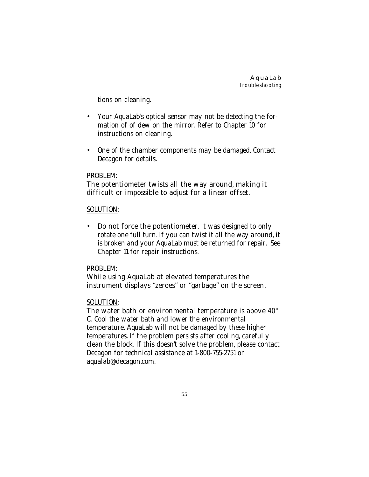tions on cleaning.

- Your AquaLab's optical sensor may not be detecting the formation of of dew on the mirror. Refer to Chapter 10 for instructions on cleaning.
- One of the chamber components may be damaged. Contact Decagon for details.

#### PROBLEM:

### The potentiometer twists all the way around, making it difficult or impossible to adjust for a linear offset.

#### SOLUTION:

• Do not force the potentiometer. It was designed to only rotate one full turn. If you can twist it all the way around, it is broken and your AquaLab must be returned for repair. See Chapter 11 for repair instructions.

#### PROBLEM:

### While using AquaLab at elevated temperatures the instrument displays "zeroes" or "garbage" on the screen.

### SOLUTION:

The water bath or environmental temperature is above 40° C. Cool the water bath and lower the environmental temperature. AquaLab will not be damaged by these higher temperatures. If the problem persists after cooling, carefully clean the block. If this doesn't solve the problem, please contact Decagon for technical assistance at 1-800-755-2751 or aqualab@decagon.com.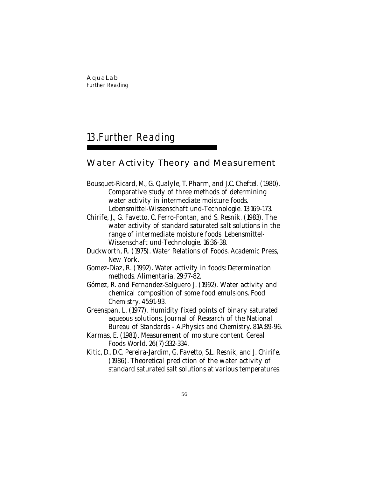# 13.Further Reading

## **Water Activity Theory and Measurement**

- Bousquet-Ricard, M., G. Qualyle, T. Pharm, and J.C. Cheftel. (1980). Comparative study of three methods of determining water activity in intermediate moisture foods. Lebensmittel-Wissenschaft und-Technologie. 13:169-173.
- Chirife, J., G. Favetto, C. Ferro-Fontan, and S. Resnik. (1983). The water activity of standard saturated salt solutions in the range of intermediate moisture foods. Lebensmittel-Wissenschaft und-Technologie. 16:36-38.
- Duckworth, R. (1975). Water Relations of Foods. Academic Press, New York.
- Gomez-Diaz, R. (1992). Water activity in foods: Determination methods. Alimentaria. 29:77-82.
- Gómez, R. and Fernandez-Salguero J. (1992). Water activity and chemical composition of some food emulsions. Food Chemistry. 45:91-93.
- Greenspan, L. (1977). Humidity fixed points of binary saturated aqueous solutions. Journal of Research of the National Bureau of Standards - A.Physics and Chemistry. 81A:89-96.
- Karmas, E. (1981). Measurement of moisture content. Cereal Foods World. 26(7):332-334.
- Kitic, D., D.C. Pereira-Jardim, G. Favetto, S.L. Resnik, and J. Chirife. (1986). Theoretical prediction of the water activity of standard saturated salt solutions at various temperatures.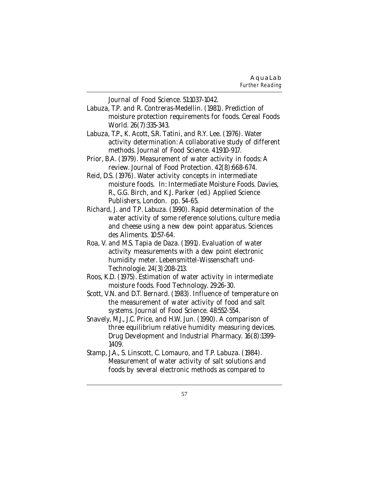Journal of Food Science. 51:1037-1042.

- Labuza, T.P. and R. Contreras-Medellin. (1981). Prediction of moisture protection requirements for foods. Cereal Foods World. 26(7):335-343.
- Labuza, T.P., K. Acott, S.R. Tatini, and R.Y. Lee. (1976). Water activity determination: A collaborative study of different methods. Journal of Food Science. 41:910-917.
- Prior, B.A. (1979). Measurement of water activity in foods: A review. Journal of Food Protection. 42(8):668-674.
- Reid, D.S. (1976). Water activity concepts in intermediate moisture foods. In: Intermediate Moisture Foods. Davies, R., G.G. Birch, and K.J. Parker (ed.) Applied Science Publishers, London. pp. 54-65.
- Richard, J. and T.P. Labuza. (1990). Rapid determination of the water activity of some reference solutions, culture media and cheese using a new dew point apparatus. Sciences des Aliments. 10:57-64.
- Roa, V. and M.S. Tapia de Daza. (1991). Evaluation of water activity measurements with a dew point electronic humidity meter. Lebensmittel-Wissenschaft und-Technologie. 24(3):208-213.
- Roos, K.D. (1975). Estimation of water activity in intermediate moisture foods. Food Technology. 29:26-30.
- Scott, V.N. and D.T. Bernard. (1983). Influence of temperature on the measurement of water activity of food and salt systems. Journal of Food Science. 48:552-554.
- Snavely, M.J., J.C. Price, and H.W. Jun. (1990). A comparison of three equilibrium relative humidity measuring devices. Drug Development and Industrial Pharmacy. 16(8):1399- 1409.
- Stamp, J.A., S. Linscott, C. Lomauro, and T.P. Labuza. (1984). Measurement of water activity of salt solutions and foods by several electronic methods as compared to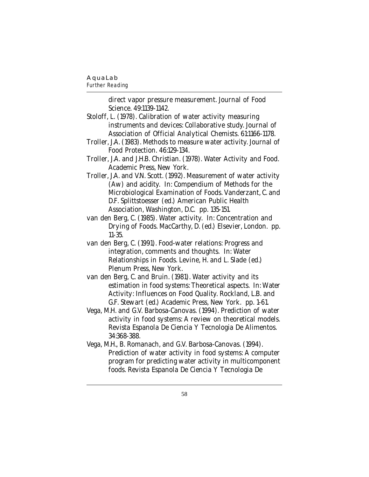#### *Further Reading*

direct vapor pressure measurement. Journal of Food Science. 49:1139-1142.

- Stoloff, L. (1978). Calibration of water activity measuring instruments and devices: Collaborative study. Journal of Association of Official Analytical Chemists. 61:1166-1178.
- Troller, J.A. (1983). Methods to measure water activity. Journal of Food Protection. 46:129-134.
- Troller, J.A. and J.H.B. Christian. (1978). Water Activity and Food. Academic Press, New York.
- Troller, J.A. and V.N. Scott. (1992). Measurement of water activity (Aw) and acidity. In: Compendium of Methods for the Microbiological Examination of Foods. Vanderzant, C. and D.F. Splittstoesser (ed.) American Public Health Association, Washington, D.C. pp. 135-151.
- van den Berg, C. (1985). Water activity. In: Concentration and Drying of Foods. MacCarthy, D. (ed.) Elsevier, London. pp. 11-35.
- van den Berg, C. (1991). Food-water relations: Progress and integration, comments and thoughts. In: Water Relationships in Foods. Levine, H. and L. Slade (ed.) Plenum Press, New York.
- van den Berg, C. and Bruin. (1981). Water activity and its estimation in food systems: Theoretical aspects. In: Water Activity: Influences on Food Quality. Rockland, L.B. and G.F. Stewart (ed.) Academic Press, New York. pp. 1-61.
- Vega, M.H. and G.V. Barbosa-Canovas. (1994). Prediction of water activity in food systems: A review on theoretical models. Revista Espanola De Ciencia Y Tecnologia De Alimentos. 34:368-388.
- Vega, M.H., B. Romanach, and G.V. Barbosa-Canovas. (1994). Prediction of water activity in food systems: A computer program for predicting water activity in multicomponent foods. Revista Espanola De Ciencia Y Tecnologia De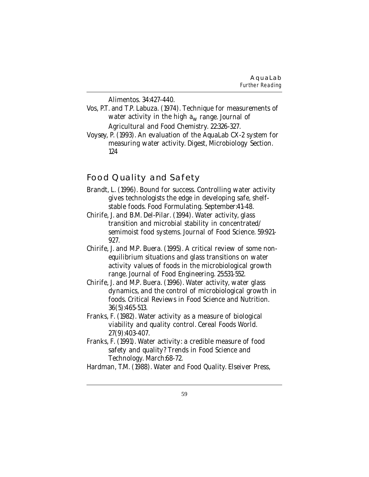Alimentos. 34:427-440.

- Vos, P.T. and T.P. Labuza. (1974). Technique for measurements of water activity in the high  $a_w$  range. Journal of Agricultural and Food Chemistry. 22:326-327.
- Voysey, P. (1993). An evaluation of the AquaLab CX-2 system for measuring water activity. Digest, Microbiology Section. 124

## **Food Quality and Safety**

- Brandt, L. (1996). Bound for success. Controlling water activity gives technologists the edge in developing safe, shelfstable foods. Food Formulating. September:41-48.
- Chirife, J. and B.M. Del-Pilar. (1994). Water activity, glass transition and microbial stability in concentrated/ semimoist food systems. Journal of Food Science. 59:921- 927.
- Chirife, J. and M.P. Buera. (1995). A critical review of some nonequilibrium situations and glass transitions on water activity values of foods in the microbiological growth range. Journal of Food Engineering. 25:531-552.
- Chirife, J. and M.P. Buera. (1996). Water activity, water glass dynamics, and the control of microbiological growth in foods. Critical Reviews in Food Science and Nutrition. 36(5):465-513.
- Franks, F. (1982). Water activity as a measure of biological viability and quality control. Cereal Foods World. 27(9):403-407.
- Franks, F. (1991). Water activity: a credible measure of food safety and quality? Trends in Food Science and Technology. March:68-72.

Hardman, T.M. (1988). Water and Food Quality. Elseiver Press,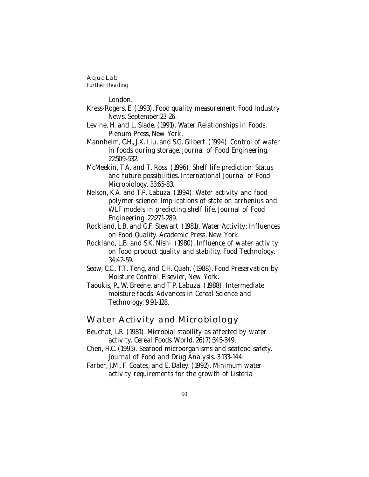#### *Further Reading*

London.

- Kress-Rogers, E. (1993). Food quality measurement. Food Industry News. September:23-26.
- Levine, H. and L. Slade. (1991). Water Relationships in Foods. Plenum Press, New York.
- Mannheim, C.H., J.X. Liu, and S.G. Gilbert. (1994). Control of water in foods during storage. Journal of Food Engineering. 22:509-532.
- McMeekin, T.A. and T. Ross. (1996). Shelf life prediction: Status and future possibilities. International Journal of Food Microbiology. 33:65-83.
- Nelson, K.A. and T.P. Labuza. (1994). Water activity and food polymer science: Implications of state on arrhenius and WLF models in predicting shelf life. Journal of Food Engineering. 22:271-289.
- Rockland, L.B. and G.F. Stewart. (1981). Water Activity: Influences on Food Quality. Academic Press, New York.
- Rockland, L.B. and S.K. Nishi. (1980). Influence of water activity on food product quality and stability. Food Technology. 34:42-59.
- Seow, C.C., T.T. Teng, and C.H. Quah. (1988). Food Preservation by Moisture Control. Elsevier, New York.
- Taoukis, P., W. Breene, and T.P. Labuza. (1988). Intermediate moisture foods. Advances in Cereal Science and Technology. 9:91-128.

### **Water Activity and Microbiology**

- Beuchat, L.R. (1981). Microbial stability as affected by water activity. Cereal Foods World. 26(7):345-349.
- Chen, H.C. (1995). Seafood microorganisms and seafood safety. Journal of Food and Drug Analysis. 3:133-144.
- Farber, J.M., F. Coates, and E. Daley. (1992). Minimum water activity requirements for the growth of Listeria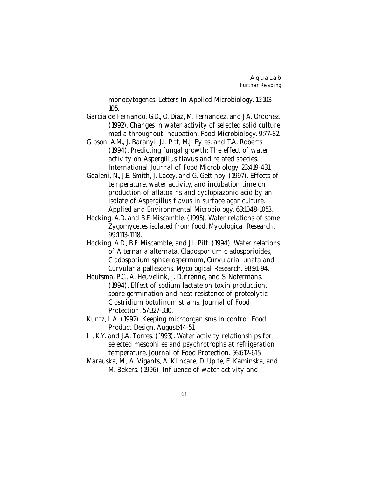monocytogenes. Letters In Applied Microbiology. 15:103- 105.

- Garcia de Fernando, G.D., O. Diaz, M. Fernandez, and J.A. Ordonez. (1992). Changes in water activity of selected solid culture media throughout incubation. Food Microbiology. 9:77-82.
- Gibson, A.M., J. Baranyi, J.I. Pitt, M.J. Eyles, and T.A. Roberts. (1994). Predicting fungal growth: The effect of water activity on Aspergillus flavus and related species. International Journal of Food Microbiology. 23:419-431.

Goaleni, N., J.E. Smith, J. Lacey, and G. Gettinby. (1997). Effects of temperature, water activity, and incubation time on production of aflatoxins and cyclopiazonic acid by an isolate of Aspergillus flavus in surface agar culture. Applied and Environmental Microbiology. 63:1048-1053.

Hocking, A.D. and B.F. Miscamble. (1995). Water relations of some Zygomycetes isolated from food. Mycological Research. 99:1113-1118.

- Hocking, A.D., B.F. Miscamble, and J.I. Pitt. (1994). Water relations of Alternaria alternata, Cladosporium cladosporioides, Cladosporium sphaerospermum, Curvularia lunata and Curvularia pallescens. Mycological Research. 98:91-94.
- Houtsma, P.C., A. Heuvelink, J. Dufrenne, and S. Notermans. (1994). Effect of sodium lactate on toxin production, spore germination and heat resistance of proteolytic Clostridium botulinum strains. Journal of Food Protection. 57:327-330.
- Kuntz, L.A. (1992). Keeping microorganisms in control. Food Product Design. August:44-51.
- Li, K.Y. and J.A. Torres. (1993). Water activity relationships for selected mesophiles and psychrotrophs at refrigeration temperature. Journal of Food Protection. 56:612-615.
- Marauska, M., A. Vigants, A. Klincare, D. Upite, E. Kaminska, and M. Bekers. (1996). Influence of water activity and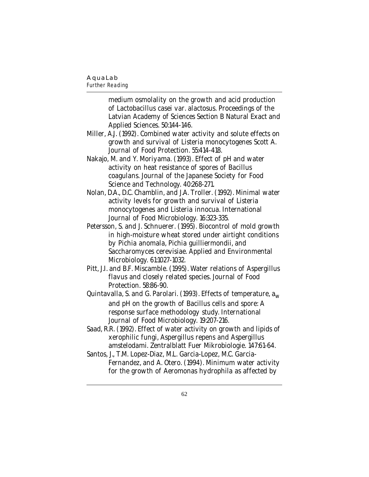### *Further Reading*

medium osmolality on the growth and acid production of Lactobacillus casei var. alactosus. Proceedings of the Latvian Academy of Sciences Section B Natural Exact and Applied Sciences. 50:144-146.

- Miller, A.J. (1992). Combined water activity and solute effects on growth and survival of Listeria monocytogenes Scott A. Journal of Food Protection. 55:414-418.
- Nakajo, M. and Y. Moriyama. (1993). Effect of pH and water activity on heat resistance of spores of Bacillus coagulans. Journal of the Japanese Society for Food Science and Technology. 40:268-271.
- Nolan, D.A., D.C. Chamblin, and J.A. Troller. (1992). Minimal water activity levels for growth and survival of Listeria monocytogenes and Listeria innocua. International Journal of Food Microbiology. 16:323-335.
- Petersson, S. and J. Schnuerer. (1995). Biocontrol of mold growth in high-moisture wheat stored under airtight conditions by Pichia anomala, Pichia guilliermondii, and Saccharomyces cerevisiae. Applied and Environmental Microbiology. 61:1027-1032.
- Pitt, J.I. and B.F. Miscamble. (1995). Water relations of Aspergillus flavus and closely related species. Journal of Food Protection. 58:86-90.
- Quintavalla, S. and G. Parolari. (1993). Effects of temperature,  $a_w$ and pH on the growth of Bacillus cells and spore: A response surface methodology study. International Journal of Food Microbiology. 19:207-216.
- Saad, R.R. (1992). Effect of water activity on growth and lipids of xerophilic fungi, Aspergillus repens and Aspergillus amstelodami. Zentralblatt Fuer Mikrobiologie. 147:61-64.
- Santos, J., T.M. Lopez-Diaz, M.L. Garcia-Lopez, M.C. Garcia-Fernandez, and A. Otero. (1994). Minimum water activity for the growth of Aeromonas hydrophila as affected by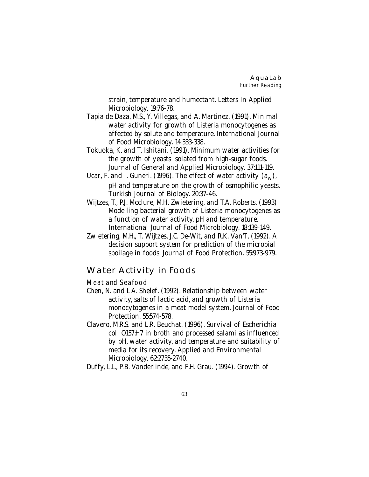strain, temperature and humectant. Letters In Applied Microbiology. 19:76-78.

- Tapia de Daza, M.S., Y. Villegas, and A. Martinez. (1991). Minimal water activity for growth of Listeria monocytogenes as affected by solute and temperature. International Journal of Food Microbiology. 14:333-338.
- Tokuoka, K. and T. Ishitani. (1991). Minimum water activities for the growth of yeasts isolated from high-sugar foods. Journal of General and Applied Microbiology. 37:111-119.
- Ucar, F. and I. Guneri. (1996). The effect of water activity  $(a_w)$ , pH and temperature on the growth of osmophilic yeasts. Turkish Journal of Biology. 20:37-46.
- Wijtzes, T., P.J. Mcclure, M.H. Zwietering, and T.A. Roberts. (1993). Modelling bacterial growth of Listeria monocytogenes as a function of water activity, pH and temperature. International Journal of Food Microbiology. 18:139-149.
- Zwietering, M.H., T. Wijtzes, J.C. De-Wit, and R.K. Van'T. (1992). A decision support system for prediction of the microbial spoilage in foods. Journal of Food Protection. 55:973-979.

## **Water Activity in Foods**

#### Meat and Seafood

- Chen, N. and L.A. Shelef. (1992). Relationship between water activity, salts of lactic acid, and growth of Listeria monocytogenes in a meat model system. Journal of Food Protection. 55:574-578.
- Clavero, M.R.S. and L.R. Beuchat. (1996). Survival of Escherichia coli O157:H7 in broth and processed salami as influenced by pH, water activity, and temperature and suitability of media for its recovery. Applied and Environmental Microbiology. 62:2735-2740.
- Duffy, L.L., P.B. Vanderlinde, and F.H. Grau. (1994). Growth of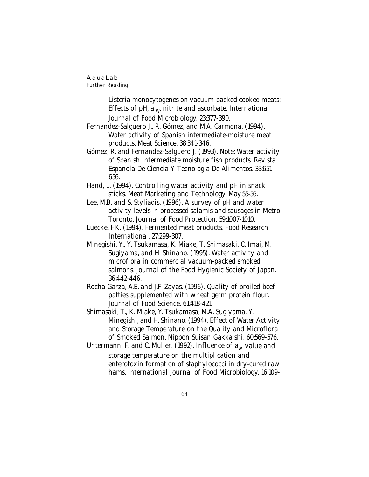#### *Further Reading*

Listeria monocytogenes on vacuum-packed cooked meats: Effects of pH, a  $_{\text{w}}$  nitrite and ascorbate. International Journal of Food Microbiology. 23:377-390. Fernandez-Salguero J., R. Gómez, and M.A. Carmona. (1994). Water activity of Spanish intermediate-moisture meat products. Meat Science. 38:341-346. Gómez, R. and Fernandez-Salguero J. (1993). Note: Water activity of Spanish intermediate moisture fish products. Revista Espanola De Ciencia Y Tecnologia De Alimentos. 33:651- 656. Hand, L. (1994). Controlling water activity and pH in snack sticks. Meat Marketing and Technology. May:55-56. Lee, M.B. and S. Styliadis. (1996). A survey of pH and water activity levels in processed salamis and sausages in Metro Toronto. Journal of Food Protection. 59:1007-1010. Luecke, F.K. (1994). Fermented meat products. Food Research International. 27:299-307. Minegishi, Y., Y. Tsukamasa, K. Miake, T. Shimasaki, C. Imai, M. Sugiyama, and H. Shinano. (1995). Water activity and microflora in commercial vacuum-packed smoked salmons. Journal of the Food Hygienic Society of Japan. 36:442-446. Rocha-Garza, A.E. and J.F. Zayas. (1996). Quality of broiled beef patties supplemented with wheat germ protein flour. Journal of Food Science. 61:418-421. Shimasaki, T., K. Miake, Y. Tsukamasa, M.A. Sugiyama, Y. Minegishi, and H. Shinano. (1994). Effect of Water Activity and Storage Temperature on the Quality and Microflora of Smoked Salmon. Nippon Suisan Gakkaishi. 60:569-576. Untermann, F. and C. Muller. (1992). Influence of  $a_w$  value and storage temperature on the multiplication and enterotoxin formation of staphylococci in dry-cured raw hams. International Journal of Food Microbiology. 16:109-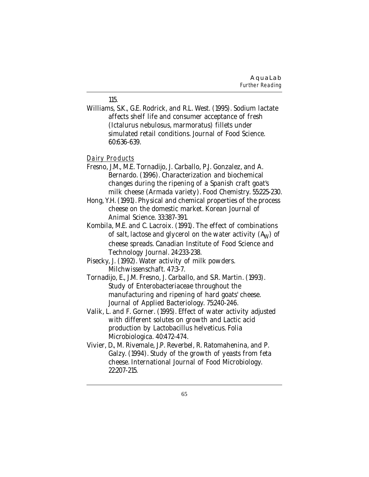#### 115.

Williams, S.K., G.E. Rodrick, and R.L. West. (1995). Sodium lactate affects shelf life and consumer acceptance of fresh (Ictalurus nebulosus, marmoratus) fillets under simulated retail conditions. Journal of Food Science. 60:636-639.

#### Dairy Products

- Fresno, J.M., M.E. Tornadijo, J. Carballo, P.J. Gonzalez, and A. Bernardo. (1996). Characterization and biochemical changes during the ripening of a Spanish craft goat's milk cheese (Armada variety). Food Chemistry. 55:225-230.
- Hong, Y.H. (1991). Physical and chemical properties of the process cheese on the domestic market. Korean Journal of Animal Science. 33:387-391.
- Kombila, M.E. and C. Lacroix. (1991). The effect of combinations of salt, lactose and glycerol on the water activity  $(A<sub>W</sub>)$  of cheese spreads. Canadian Institute of Food Science and Technology Journal. 24:233-238.
- Pisecky, J. (1992). Water activity of milk powders. Milchwissenschaft. 47:3-7.
- Tornadijo, E., J.M. Fresno, J. Carballo, and S.R. Martin. (1993). Study of Enterobacteriaceae throughout the manufacturing and ripening of hard goats' cheese. Journal of Applied Bacteriology. 75:240-246.
- Valik, L. and F. Gorner. (1995). Effect of water activity adjusted with different solutes on growth and Lactic acid production by Lactobacillus helveticus. Folia Microbiologica. 40:472-474.
- Vivier, D., M. Rivemale, J.P. Reverbel, R. Ratomahenina, and P. Galzy. (1994). Study of the growth of yeasts from feta cheese. International Journal of Food Microbiology. 22:207-215.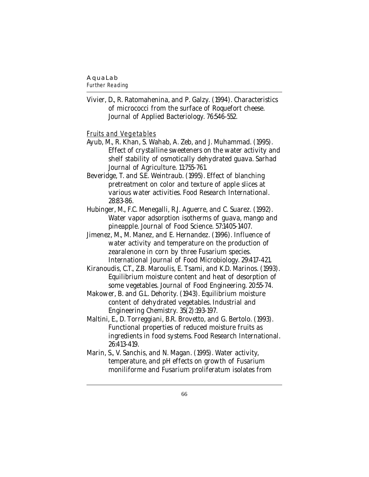### *Further Reading*

Vivier, D., R. Ratomahenina, and P. Galzy. (1994). Characteristics of micrococci from the surface of Roquefort cheese. Journal of Applied Bacteriology. 76:546-552.

#### Fruits and Vegetables

- Ayub, M., R. Khan, S. Wahab, A. Zeb, and J. Muhammad. (1995). Effect of crystalline sweeteners on the water activity and shelf stability of osmotically dehydrated guava. Sarhad Journal of Agriculture. 11:755-761.
- Beveridge, T. and S.E. Weintraub. (1995). Effect of blanching pretreatment on color and texture of apple slices at various water activities. Food Research International. 28:83-86.
- Hubinger, M., F.C. Menegalli, R.J. Aguerre, and C. Suarez. (1992). Water vapor adsorption isotherms of guava, mango and pineapple. Journal of Food Science. 57:1405-1407.
- Jimenez, M., M. Manez, and E. Hernandez. (1996). Influence of water activity and temperature on the production of zearalenone in corn by three Fusarium species. International Journal of Food Microbiology. 29:417-421.
- Kiranoudis, C.T., Z.B. Maroulis, E. Tsami, and K.D. Marinos. (1993). Equilibrium moisture content and heat of desorption of some vegetables. Journal of Food Engineering. 20:55-74.
- Makower, B. and G.L. Dehority. (1943). Equilibrium moisture content of dehydrated vegetables. Industrial and Engineering Chemistry. 35(2):193-197.
- Maltini, E., D. Torreggiani, B.R. Brovetto, and G. Bertolo. (1993). Functional properties of reduced moisture fruits as ingredients in food systems. Food Research International. 26:413-419.
- Marin, S., V. Sanchis, and N. Magan. (1995). Water activity, temperature, and pH effects on growth of Fusarium moniliforme and Fusarium proliferatum isolates from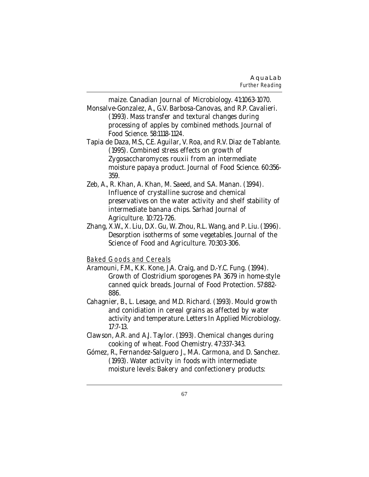maize. Canadian Journal of Microbiology. 41:1063-1070.

- Monsalve-Gonzalez, A., G.V. Barbosa-Canovas, and R.P. Cavalieri. (1993). Mass transfer and textural changes during processing of apples by combined methods. Journal of Food Science. 58:1118-1124.
- Tapia de Daza, M.S., C.E. Aguilar, V. Roa, and R.V. Diaz de Tablante. (1995). Combined stress effects on growth of Zygosaccharomyces rouxii from an intermediate moisture papaya product. Journal of Food Science. 60:356- 359.
- Zeb, A., R. Khan, A. Khan, M. Saeed, and S.A. Manan. (1994). Influence of crystalline sucrose and chemical preservatives on the water activity and shelf stability of intermediate banana chips. Sarhad Journal of Agriculture. 10:721-726.
- Zhang, X.W., X. Liu, D.X. Gu, W. Zhou, R.L. Wang, and P. Liu. (1996). Desorption isotherms of some vegetables. Journal of the Science of Food and Agriculture. 70:303-306.

### Baked Goods and Cereals

- Aramouni, F.M., K.K. Kone, J.A. Craig, and D.-Y.C. Fung. (1994). Growth of Clostridium sporogenes PA 3679 in home-style canned quick breads. Journal of Food Protection. 57:882- 886.
- Cahagnier, B., L. Lesage, and M.D. Richard. (1993). Mould growth and conidiation in cereal grains as affected by water activity and temperature. Letters In Applied Microbiology. 17:7-13.
- Clawson, A.R. and A.J. Taylor. (1993). Chemical changes during cooking of wheat. Food Chemistry. 47:337-343.
- Gómez, R., Fernandez-Salguero J., M.A. Carmona, and D. Sanchez. (1993). Water activity in foods with intermediate moisture levels: Bakery and confectionery products: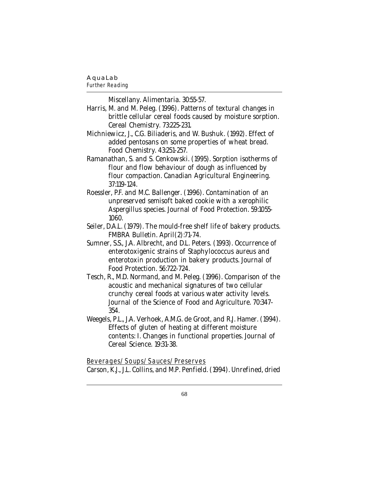#### *Further Reading*

Miscellany. Alimentaria. 30:55-57.

- Harris, M. and M. Peleg. (1996). Patterns of textural changes in brittle cellular cereal foods caused by moisture sorption. Cereal Chemistry. 73:225-231.
- Michniewicz, J., C.G. Biliaderis, and W. Bushuk. (1992). Effect of added pentosans on some properties of wheat bread. Food Chemistry. 43:251-257.
- Ramanathan, S. and S. Cenkowski. (1995). Sorption isotherms of flour and flow behaviour of dough as influenced by flour compaction. Canadian Agricultural Engineering. 37:119-124.
- Roessler, P.F. and M.C. Ballenger. (1996). Contamination of an unpreserved semisoft baked cookie with a xerophilic Aspergillus species. Journal of Food Protection. 59:1055- 1060.
- Seiler, D.A.L. (1979). The mould-free shelf life of bakery products. FMBRA Bulletin. April(2):71-74.
- Sumner, S.S., J.A. Albrecht, and D.L. Peters. (1993). Occurrence of enterotoxigenic strains of Staphylococcus aureus and enterotoxin production in bakery products. Journal of Food Protection. 56:722-724.
- Tesch, R., M.D. Normand, and M. Peleg. (1996). Comparison of the acoustic and mechanical signatures of two cellular crunchy cereal foods at various water activity levels. Journal of the Science of Food and Agriculture. 70:347- 354.
- Weegels, P.L., J.A. Verhoek, A.M.G. de Groot, and R.J. Hamer. (1994). Effects of gluten of heating at different moisture contents: I. Changes in functional properties. Journal of Cereal Science. 19:31-38.

Beverages/Soups/Sauces/Preserves

Carson, K.J., J.L. Collins, and M.P. Penfield. (1994). Unrefined, dried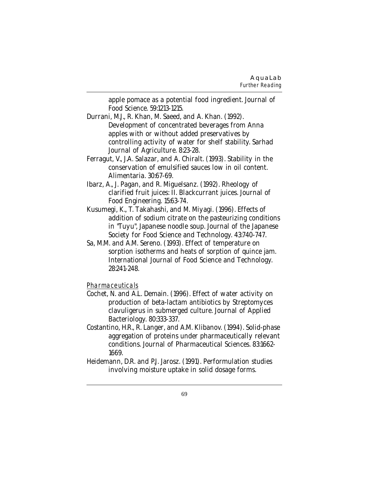apple pomace as a potential food ingredient. Journal of Food Science. 59:1213-1215.

- Durrani, M.J., R. Khan, M. Saeed, and A. Khan. (1992). Development of concentrated beverages from Anna apples with or without added preservatives by controlling activity of water for shelf stability. Sarhad Journal of Agriculture. 8:23-28.
- Ferragut, V., J.A. Salazar, and A. Chiralt. (1993). Stability in the conservation of emulsified sauces low in oil content. Alimentaria. 30:67-69.
- Ibarz, A., J. Pagan, and R. Miguelsanz. (1992). Rheology of clarified fruit juices: II. Blackcurrant juices. Journal of Food Engineering. 15:63-74.
- Kusumegi, K., T. Takahashi, and M. Miyagi. (1996). Effects of addition of sodium citrate on the pasteurizing conditions in "Tuyu", Japanese noodle soup. Journal of the Japanese Society for Food Science and Technology. 43:740-747.
- Sa, M.M. and A.M. Sereno. (1993). Effect of temperature on sorption isotherms and heats of sorption of quince jam. International Journal of Food Science and Technology. 28:241-248.

#### Pharmaceuticals

- Cochet, N. and A.L. Demain. (1996). Effect of water activity on production of beta-lactam antibiotics by Streptomyces clavuligerus in submerged culture. Journal of Applied Bacteriology. 80:333-337.
- Costantino, H.R., R. Langer, and A.M. Klibanov. (1994). Solid-phase aggregation of proteins under pharmaceutically relevant conditions. Journal of Pharmaceutical Sciences. 83:1662- 1669.
- Heidemann, D.R. and P.J. Jarosz. (1991). Performulation studies involving moisture uptake in solid dosage forms.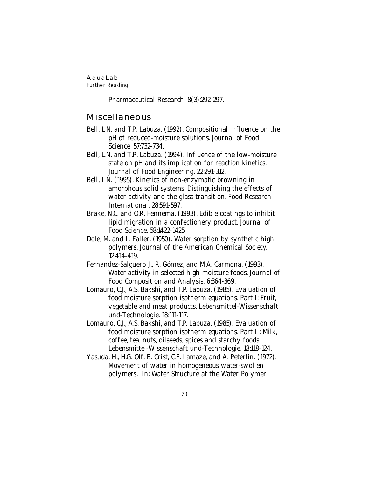#### **AquaLab**

*Further Reading*

Pharmaceutical Research. 8(3):292-297.

#### **Miscellaneous**

- Bell, L.N. and T.P. Labuza. (1992). Compositional influence on the pH of reduced-moisture solutions. Journal of Food Science. 57:732-734.
- Bell, L.N. and T.P. Labuza. (1994). Influence of the low-moisture state on pH and its implication for reaction kinetics. Journal of Food Engineering. 22:291-312.
- Bell, L.N. (1995). Kinetics of non-enzymatic browning in amorphous solid systems: Distinguishing the effects of water activity and the glass transition. Food Research International. 28:591-597.
- Brake, N.C. and O.R. Fennema. (1993). Edible coatings to inhibit lipid migration in a confectionery product. Journal of Food Science. 58:1422-1425.
- Dole, M. and L. Faller. (1950). Water sorption by synthetic high polymers. Journal of the American Chemical Society. 12:414-419.
- Fernandez-Salguero J., R. Gómez, and M.A. Carmona. (1993). Water activity in selected high-moisture foods. Journal of Food Composition and Analysis. 6:364-369.
- Lomauro, C.J., A.S. Bakshi, and T.P. Labuza. (1985). Evaluation of food moisture sorption isotherm equations. Part I: Fruit, vegetable and meat products. Lebensmittel-Wissenschaft und-Technologie. 18:111-117.
- Lomauro, C.J., A.S. Bakshi, and T.P. Labuza. (1985). Evaluation of food moisture sorption isotherm equations. Part II: Milk, coffee, tea, nuts, oilseeds, spices and starchy foods. Lebensmittel-Wissenschaft und-Technologie. 18:118-124.
- Yasuda, H., H.G. Olf, B. Crist, C.E. Lamaze, and A. Peterlin. (1972). Movement of water in homogeneous water-swollen polymers. In: Water Structure at the Water Polymer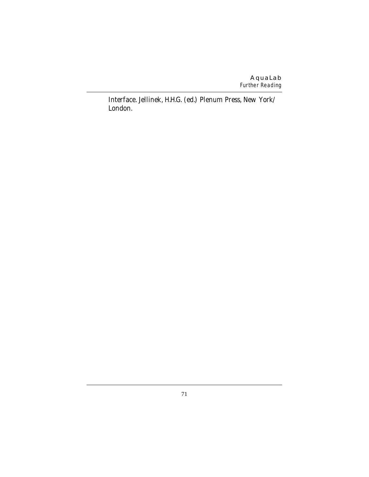#### **AquaLab** *Further Reading*

Interface. Jellinek, H.H.G. (ed.) Plenum Press, New York/ London.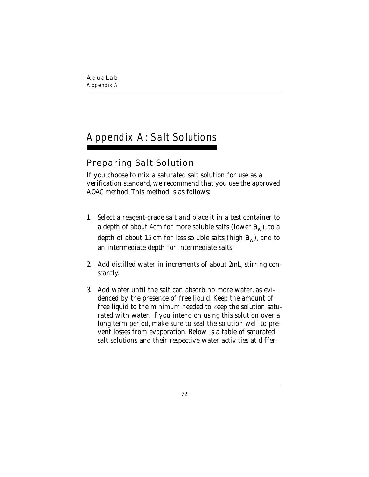# Appendix A: Salt Solutions

# **Preparing Salt Solution**

If you choose to mix a saturated salt solution for use as a verification standard, we recommend that you use the approved AOAC method. This method is as follows:

- 1. Select a reagent-grade salt and place it in a test container to a depth of about 4cm for more soluble salts (lower  $a_w$ ), to a depth of about 1.5 cm for less soluble salts (high  $a_w$ ), and to an intermediate depth for intermediate salts.
- 2. Add distilled water in increments of about 2mL, stirring constantly.
- 3. Add water until the salt can absorb no more water, as evidenced by the presence of free liquid. Keep the amount of free liquid to the minimum needed to keep the solution saturated with water. If you intend on using this solution over a long term period, make sure to seal the solution well to prevent losses from evaporation. Below is a table of saturated salt solutions and their respective water activities at differ-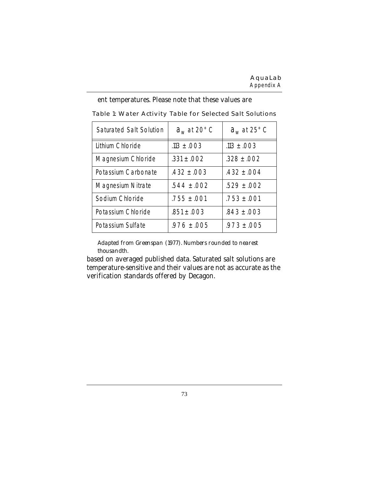| Saturated Salt Solution | $a_w$ at 20 $\degree$ C | $a_w$ at 25 $\degree$ C |
|-------------------------|-------------------------|-------------------------|
| Lithium Chloride        | $.113 \pm .003$         | $.113 \pm .003$         |
| Magnesium Chloride      | $.331 \pm .002$         | $.328 \pm .002$         |
| Potassium Carbonate     | $.432 \pm .003$         | $.432 \pm .004$         |
| Magnesium Nitrate       | $.544 \pm .002$         | $.529 \pm .002$         |
| Sodium Chloride         | $.755 \pm .001$         | $.753 \pm .001$         |
| Potassium Chloride      | $.851 \pm .003$         | $.843 \pm .003$         |
| Potassium Sulfate       | $.976 \pm .005$         | $.973 \pm .005$         |

ent temperatures. Please note that these values are

**Table 1: Water Activity Table for Selected Salt Solutions**

*Adapted from Greenspan (1977). Numbers rounded to nearest thousandth.*

based on averaged published data. Saturated salt solutions are temperature-sensitive and their values are not as accurate as the verification standards offered by Decagon.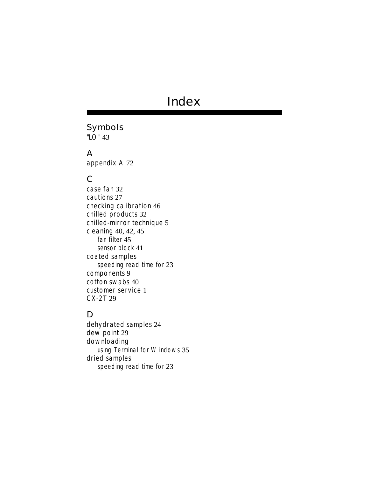# **Index**

# **Symbols**

"LO" 43

#### **A**

appendix A 72

## **C**

case fan 32 cautions 27 checking calibration 46 chilled products 32 chilled-mirror technique 5 cleaning 40, 42, 45 fan filter 45 sensor block 41 coated samples speeding read time for 23 components 9 cotton swabs 40 customer service 1 CX-2T 29

## **D**

dehydrated samples 24 dew point 29 downloading using Terminal for Windows 35 dried samples speeding read time for 23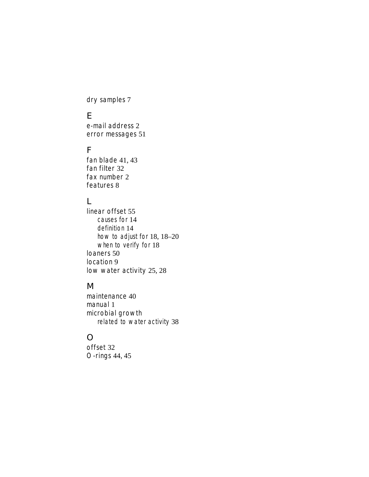dry samples 7

#### **E**

e-mail address 2 error messages 51

## **F**

fan blade 41, 43 fan filter 32 fax number 2 features 8

## **L**

linear offset 55 causes for 14 definition 14 how to adjust for 18, 18–20 when to verify for 18 loaners 50 location 9 low water activity 25, 28

# **M**

maintenance 40 manual 1 microbial growth related to water activity 38

## **O**

offset 32 O-rings 44, 45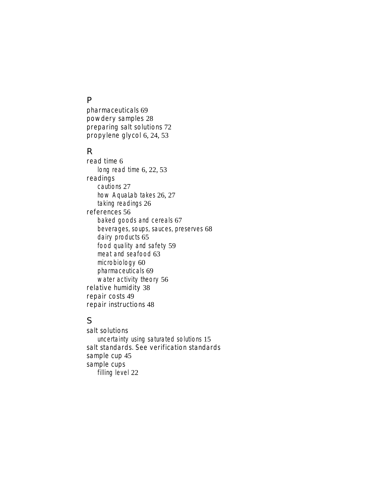#### **P**

pharmaceuticals 69 powdery samples 28 preparing salt solutions 72 propylene glycol 6, 24, 53

#### **R**

read time 6 long read time 6, 22, 53 readings cautions 27 how AquaLab takes 26, 27 taking readings 26 references 56 baked goods and cereals 67 beverages, soups, sauces, preserves 68 dairy products 65 food quality and safety 59 meat and seafood 63 microbiology 60 pharmaceuticals 69 water activity theory 56 relative humidity 38 repair costs 49 repair instructions 48

# **S**

salt solutions uncertainty using saturated solutions 15 salt standards. See verification standards sample cup 45 sample cups filling level 22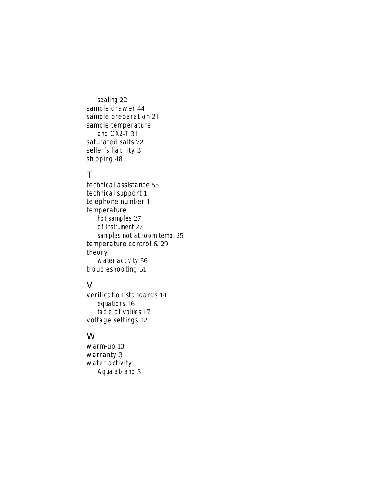sealing 22 sample drawer 44 sample preparation 21 sample temperature and CX2-T 31 saturated salts 72 seller's liability 3 shipping 48

## **T**

technical assistance 55 technical support 1 telephone number 1 temperature hot samples 27 of instrument 27 samples not at room temp. 25 temperature control 6, 29 theory water activity 56 troubleshooting 51

#### **V**

verification standards 14 equations 16 table of values 17 voltage settings 12

#### **W**

warm-up 13 warranty 3 water activity Aqualab and 5